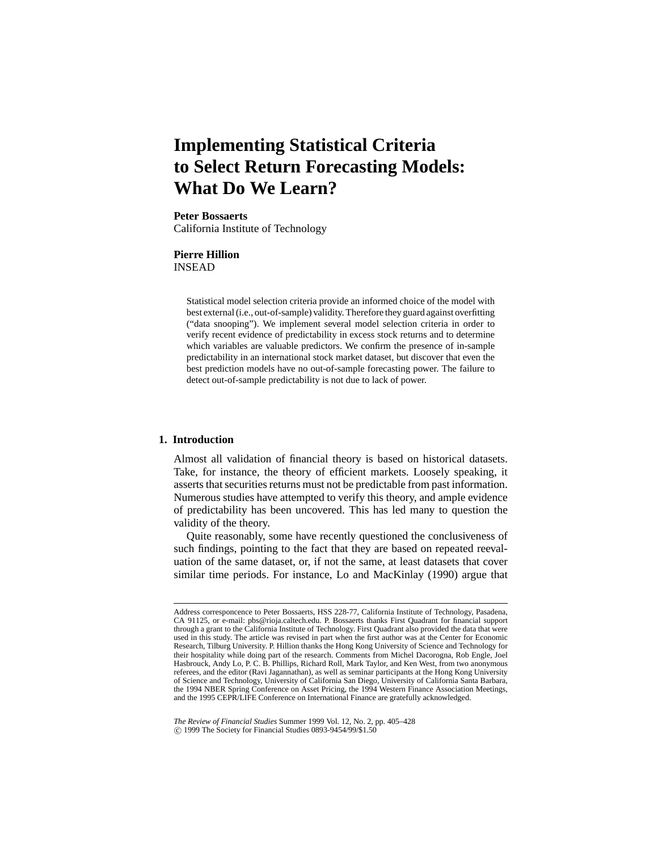# **Implementing Statistical Criteria to Select Return Forecasting Models: What Do We Learn?**

## **Peter Bossaerts**

California Institute of Technology

## **Pierre Hillion**

INSEAD

Statistical model selection criteria provide an informed choice of the model with best external (i.e., out-of-sample) validity. Therefore they guard against overfitting ("data snooping"). We implement several model selection criteria in order to verify recent evidence of predictability in excess stock returns and to determine which variables are valuable predictors. We confirm the presence of in-sample predictability in an international stock market dataset, but discover that even the best prediction models have no out-of-sample forecasting power. The failure to detect out-of-sample predictability is not due to lack of power.

## **1. Introduction**

Almost all validation of financial theory is based on historical datasets. Take, for instance, the theory of efficient markets. Loosely speaking, it asserts that securities returns must not be predictable from past information. Numerous studies have attempted to verify this theory, and ample evidence of predictability has been uncovered. This has led many to question the validity of the theory.

Quite reasonably, some have recently questioned the conclusiveness of such findings, pointing to the fact that they are based on repeated reevaluation of the same dataset, or, if not the same, at least datasets that cover similar time periods. For instance, Lo and MacKinlay (1990) argue that

Address corresponcence to Peter Bossaerts, HSS 228-77, California Institute of Technology, Pasadena, CA 91125, or e-mail: pbs@rioja.caltech.edu. P. Bossaerts thanks First Quadrant for financial support through a grant to the California Institute of Technology. First Quadrant also provided the data that were used in this study. The article was revised in part when the first author was at the Center for Economic Research, Tilburg University. P. Hillion thanks the Hong Kong University of Science and Technology for their hospitality while doing part of the research. Comments from Michel Dacorogna, Rob Engle, Joel Hasbrouck, Andy Lo, P. C. B. Phillips, Richard Roll, Mark Taylor, and Ken West, from two anonymous referees, and the editor (Ravi Jagannathan), as well as seminar participants at the Hong Kong University of Science and Technology, University of California San Diego, University of California Santa Barbara, the 1994 NBER Spring Conference on Asset Pricing, the 1994 Western Finance Association Meetings, and the 1995 CEPR/LIFE Conference on International Finance are gratefully acknowledged.

*The Review of Financial Studies* Summer 1999 Vol. 12, No. 2, pp. 405–428 °c 1999 The Society for Financial Studies 0893-9454/99/\$1.50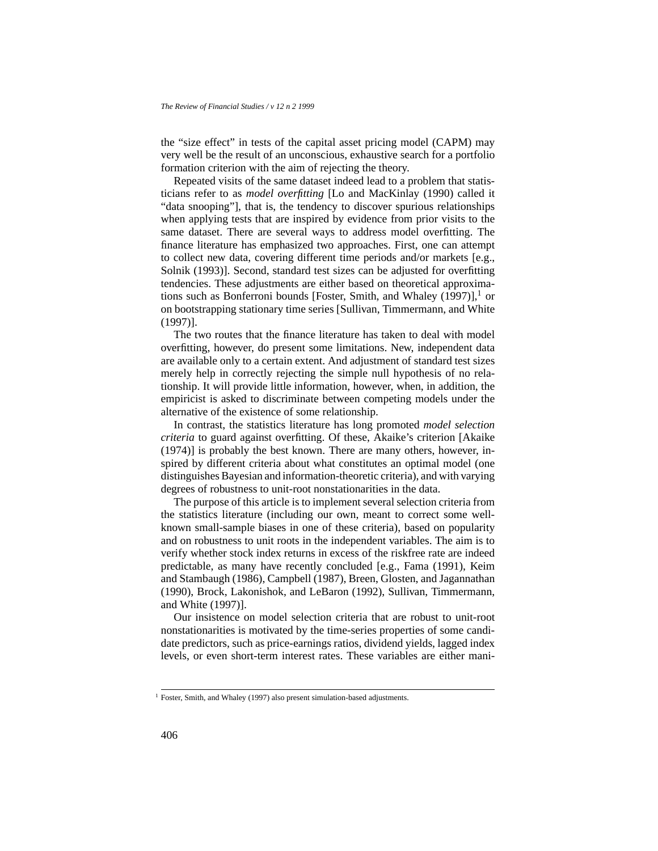the "size effect" in tests of the capital asset pricing model (CAPM) may very well be the result of an unconscious, exhaustive search for a portfolio formation criterion with the aim of rejecting the theory.

Repeated visits of the same dataset indeed lead to a problem that statisticians refer to as *model overfitting* [Lo and MacKinlay (1990) called it "data snooping"], that is, the tendency to discover spurious relationships when applying tests that are inspired by evidence from prior visits to the same dataset. There are several ways to address model overfitting. The finance literature has emphasized two approaches. First, one can attempt to collect new data, covering different time periods and/or markets [e.g., Solnik (1993)]. Second, standard test sizes can be adjusted for overfitting tendencies. These adjustments are either based on theoretical approximations such as Bonferroni bounds [Foster, Smith, and Whaley  $(1997)$ ],<sup>1</sup> or on bootstrapping stationary time series [Sullivan, Timmermann, and White (1997)].

The two routes that the finance literature has taken to deal with model overfitting, however, do present some limitations. New, independent data are available only to a certain extent. And adjustment of standard test sizes merely help in correctly rejecting the simple null hypothesis of no relationship. It will provide little information, however, when, in addition, the empiricist is asked to discriminate between competing models under the alternative of the existence of some relationship.

In contrast, the statistics literature has long promoted *model selection criteria* to guard against overfitting. Of these, Akaike's criterion [Akaike (1974)] is probably the best known. There are many others, however, inspired by different criteria about what constitutes an optimal model (one distinguishes Bayesian and information-theoretic criteria), and with varying degrees of robustness to unit-root nonstationarities in the data.

The purpose of this article is to implement several selection criteria from the statistics literature (including our own, meant to correct some wellknown small-sample biases in one of these criteria), based on popularity and on robustness to unit roots in the independent variables. The aim is to verify whether stock index returns in excess of the riskfree rate are indeed predictable, as many have recently concluded [e.g., Fama (1991), Keim and Stambaugh (1986), Campbell (1987), Breen, Glosten, and Jagannathan (1990), Brock, Lakonishok, and LeBaron (1992), Sullivan, Timmermann, and White (1997)].

Our insistence on model selection criteria that are robust to unit-root nonstationarities is motivated by the time-series properties of some candidate predictors, such as price-earnings ratios, dividend yields, lagged index levels, or even short-term interest rates. These variables are either mani-

 $1$  Foster, Smith, and Whaley (1997) also present simulation-based adjustments.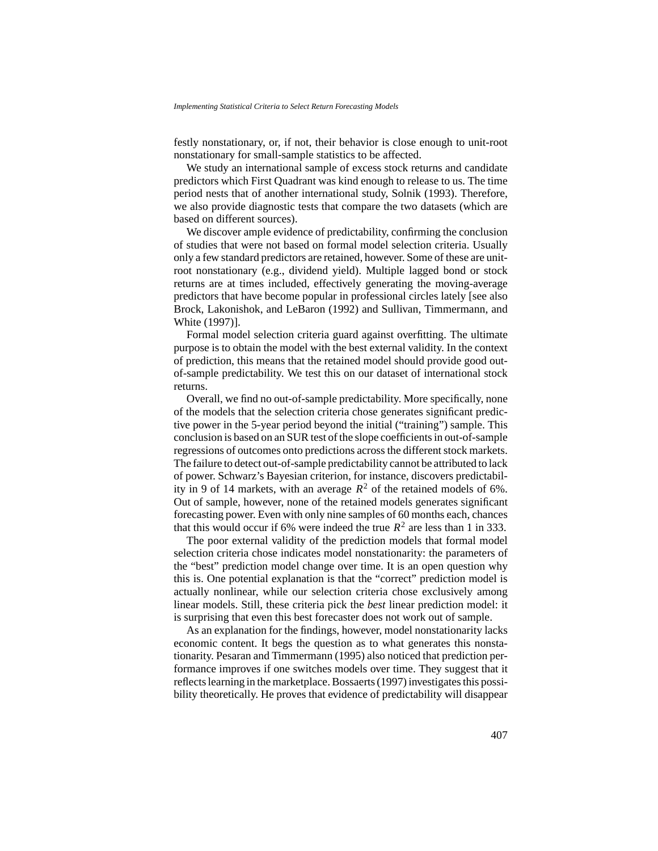festly nonstationary, or, if not, their behavior is close enough to unit-root nonstationary for small-sample statistics to be affected.

We study an international sample of excess stock returns and candidate predictors which First Quadrant was kind enough to release to us. The time period nests that of another international study, Solnik (1993). Therefore, we also provide diagnostic tests that compare the two datasets (which are based on different sources).

We discover ample evidence of predictability, confirming the conclusion of studies that were not based on formal model selection criteria. Usually only a few standard predictors are retained, however. Some of these are unitroot nonstationary (e.g., dividend yield). Multiple lagged bond or stock returns are at times included, effectively generating the moving-average predictors that have become popular in professional circles lately [see also Brock, Lakonishok, and LeBaron (1992) and Sullivan, Timmermann, and White (1997)].

Formal model selection criteria guard against overfitting. The ultimate purpose is to obtain the model with the best external validity. In the context of prediction, this means that the retained model should provide good outof-sample predictability. We test this on our dataset of international stock returns.

Overall, we find no out-of-sample predictability. More specifically, none of the models that the selection criteria chose generates significant predictive power in the 5-year period beyond the initial ("training") sample. This conclusion is based on an SUR test of the slope coefficients in out-of-sample regressions of outcomes onto predictions across the different stock markets. The failure to detect out-of-sample predictability cannot be attributed to lack of power. Schwarz's Bayesian criterion, for instance, discovers predictability in 9 of 14 markets, with an average  $R^2$  of the retained models of 6%. Out of sample, however, none of the retained models generates significant forecasting power. Even with only nine samples of 60 months each, chances that this would occur if 6% were indeed the true  $R^2$  are less than 1 in 333.

The poor external validity of the prediction models that formal model selection criteria chose indicates model nonstationarity: the parameters of the "best" prediction model change over time. It is an open question why this is. One potential explanation is that the "correct" prediction model is actually nonlinear, while our selection criteria chose exclusively among linear models. Still, these criteria pick the *best* linear prediction model: it is surprising that even this best forecaster does not work out of sample.

As an explanation for the findings, however, model nonstationarity lacks economic content. It begs the question as to what generates this nonstationarity. Pesaran and Timmermann (1995) also noticed that prediction performance improves if one switches models over time. They suggest that it reflects learning in the marketplace. Bossaerts (1997) investigates this possibility theoretically. He proves that evidence of predictability will disappear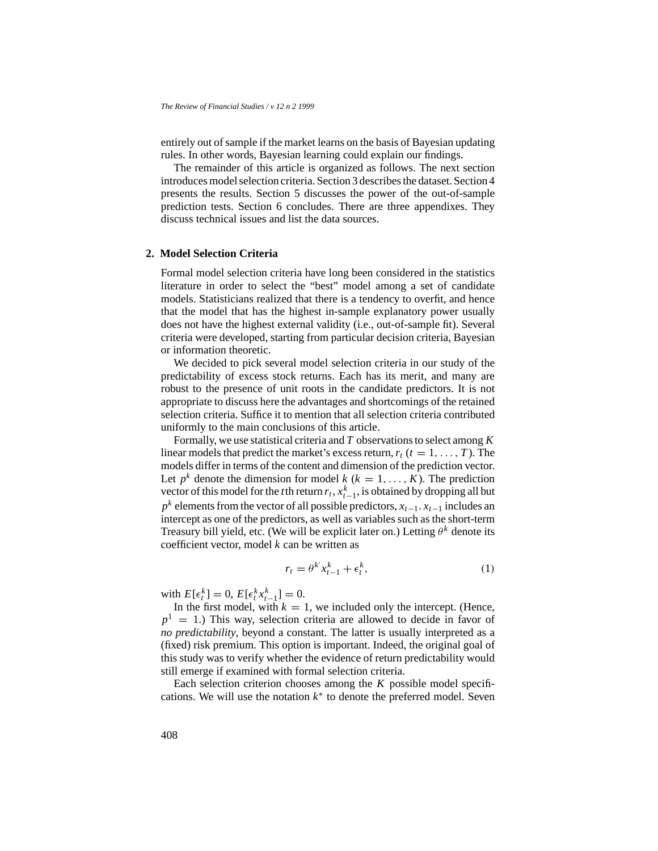entirely out of sample if the market learns on the basis of Bayesian updating rules. In other words, Bayesian learning could explain our findings.

The remainder of this article is organized as follows. The next section introduces model selection criteria. Section 3 describes the dataset. Section 4 presents the results. Section 5 discusses the power of the out-of-sample prediction tests. Section 6 concludes. There are three appendixes. They discuss technical issues and list the data sources.

## **2. Model Selection Criteria**

Formal model selection criteria have long been considered in the statistics literature in order to select the "best" model among a set of candidate models. Statisticians realized that there is a tendency to overfit, and hence that the model that has the highest in-sample explanatory power usually does not have the highest external validity (i.e., out-of-sample fit). Several criteria were developed, starting from particular decision criteria, Bayesian or information theoretic.

We decided to pick several model selection criteria in our study of the predictability of excess stock returns. Each has its merit, and many are robust to the presence of unit roots in the candidate predictors. It is not appropriate to discuss here the advantages and shortcomings of the retained selection criteria. Suffice it to mention that all selection criteria contributed uniformly to the main conclusions of this article.

Formally, we use statistical criteria and *T* observations to select among *K* linear models that predict the market's excess return,  $r_t$  ( $t = 1, \ldots, T$ ). The models differ in terms of the content and dimension of the prediction vector. Let  $p^k$  denote the dimension for model  $k$  ( $k = 1, \ldots, K$ ). The prediction vector of this model for the *t* th return  $r_t$ ,  $x_{t-1}^k$ , is obtained by dropping all but  $p^k$  elements from the vector of all possible predictors,  $x_{t-1}$ .  $x_{t-1}$  includes an intercept as one of the predictors, as well as variables such as the short-term Treasury bill yield, etc. (We will be explicit later on.) Letting  $\theta^k$  denote its coefficient vector, model *k* can be written as

$$
r_t = \theta^k x_{t-1}^k + \epsilon_t^k, \tag{1}
$$

with  $E[\epsilon_i^k] = 0$ ,  $E[\epsilon_i^k x_{t-1}^k] = 0$ .

In the first model, with  $k = 1$ , we included only the intercept. (Hence,  $p<sup>1</sup> = 1$ .) This way, selection criteria are allowed to decide in favor of *no predictability*, beyond a constant. The latter is usually interpreted as a (fixed) risk premium. This option is important. Indeed, the original goal of this study was to verify whether the evidence of return predictability would still emerge if examined with formal selection criteria.

Each selection criterion chooses among the *K* possible model specifications. We will use the notation *k*<sup>∗</sup> to denote the preferred model. Seven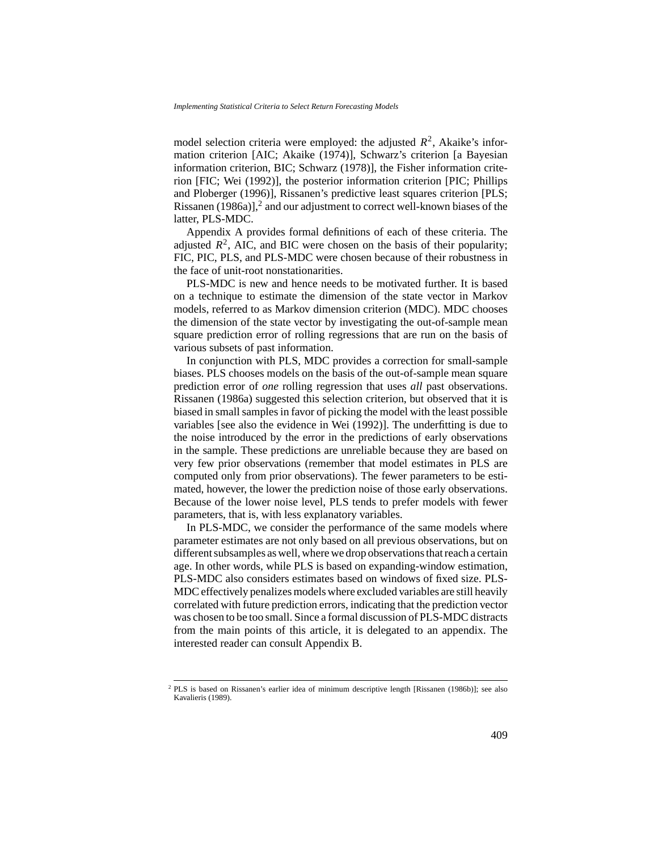model selection criteria were employed: the adjusted  $R^2$ , Akaike's information criterion [AIC; Akaike (1974)], Schwarz's criterion [a Bayesian information criterion, BIC; Schwarz (1978)], the Fisher information criterion [FIC; Wei (1992)], the posterior information criterion [PIC; Phillips and Ploberger (1996)], Rissanen's predictive least squares criterion [PLS; Rissanen (1986a)], $^2$  and our adjustment to correct well-known biases of the latter, PLS-MDC.

Appendix A provides formal definitions of each of these criteria. The adjusted  $R^2$ , AIC, and BIC were chosen on the basis of their popularity; FIC, PIC, PLS, and PLS-MDC were chosen because of their robustness in the face of unit-root nonstationarities.

PLS-MDC is new and hence needs to be motivated further. It is based on a technique to estimate the dimension of the state vector in Markov models, referred to as Markov dimension criterion (MDC). MDC chooses the dimension of the state vector by investigating the out-of-sample mean square prediction error of rolling regressions that are run on the basis of various subsets of past information.

In conjunction with PLS, MDC provides a correction for small-sample biases. PLS chooses models on the basis of the out-of-sample mean square prediction error of *one* rolling regression that uses *all* past observations. Rissanen (1986a) suggested this selection criterion, but observed that it is biased in small samples in favor of picking the model with the least possible variables [see also the evidence in Wei (1992)]. The underfitting is due to the noise introduced by the error in the predictions of early observations in the sample. These predictions are unreliable because they are based on very few prior observations (remember that model estimates in PLS are computed only from prior observations). The fewer parameters to be estimated, however, the lower the prediction noise of those early observations. Because of the lower noise level, PLS tends to prefer models with fewer parameters, that is, with less explanatory variables.

In PLS-MDC, we consider the performance of the same models where parameter estimates are not only based on all previous observations, but on different subsamples as well, where we drop observations that reach a certain age. In other words, while PLS is based on expanding-window estimation, PLS-MDC also considers estimates based on windows of fixed size. PLS-MDC effectively penalizes models where excluded variables are still heavily correlated with future prediction errors, indicating that the prediction vector was chosen to be too small. Since a formal discussion of PLS-MDC distracts from the main points of this article, it is delegated to an appendix. The interested reader can consult Appendix B.

<sup>2</sup> PLS is based on Rissanen's earlier idea of minimum descriptive length [Rissanen (1986b)]; see also Kavalieris (1989).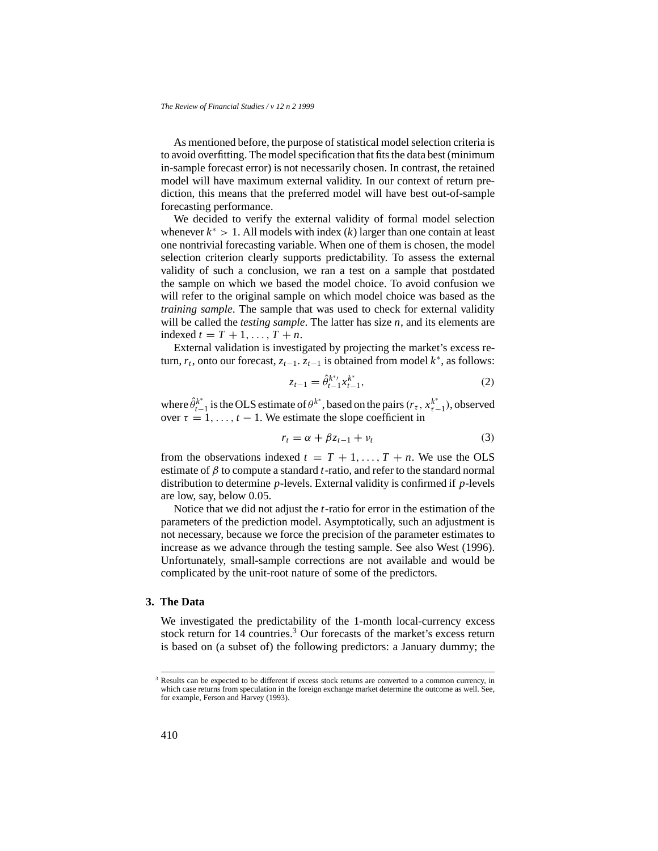As mentioned before, the purpose of statistical model selection criteria is to avoid overfitting. The model specification that fits the data best (minimum in-sample forecast error) is not necessarily chosen. In contrast, the retained model will have maximum external validity. In our context of return prediction, this means that the preferred model will have best out-of-sample forecasting performance.

We decided to verify the external validity of formal model selection whenever  $k^* > 1$ . All models with index  $(k)$  larger than one contain at least one nontrivial forecasting variable. When one of them is chosen, the model selection criterion clearly supports predictability. To assess the external validity of such a conclusion, we ran a test on a sample that postdated the sample on which we based the model choice. To avoid confusion we will refer to the original sample on which model choice was based as the *training sample*. The sample that was used to check for external validity will be called the *testing sample*. The latter has size *n*, and its elements are indexed  $t = T + 1, \ldots, T + n$ .

External validation is investigated by projecting the market's excess return,  $r_t$ , onto our forecast,  $z_{t-1}$ .  $z_{t-1}$  is obtained from model  $k^*$ , as follows:

$$
z_{t-1} = \hat{\theta}_{t-1}^{k^*} x_{t-1}^{k^*},
$$
\n(2)

where  $\hat{\theta}^{k^*}_{t-1}$  is the OLS estimate of  $\theta^{k^*}$ , based on the pairs ( $r_\tau$ ,  $x^{k^*}_{\tau-1}$ ), observed over  $\tau = 1, \ldots, t - 1$ . We estimate the slope coefficient in

$$
r_t = \alpha + \beta z_{t-1} + \nu_t \tag{3}
$$

from the observations indexed  $t = T + 1, \ldots, T + n$ . We use the OLS estimate of β to compute a standard *t*-ratio, and refer to the standard normal distribution to determine *p*-levels. External validity is confirmed if *p*-levels are low, say, below 0.05.

Notice that we did not adjust the *t*-ratio for error in the estimation of the parameters of the prediction model. Asymptotically, such an adjustment is not necessary, because we force the precision of the parameter estimates to increase as we advance through the testing sample. See also West (1996). Unfortunately, small-sample corrections are not available and would be complicated by the unit-root nature of some of the predictors.

## **3. The Data**

We investigated the predictability of the 1-month local-currency excess stock return for  $14$  countries.<sup>3</sup> Our forecasts of the market's excess return is based on (a subset of) the following predictors: a January dummy; the

Results can be expected to be different if excess stock returns are converted to a common currency, in which case returns from speculation in the foreign exchange market determine the outcome as well. See, for example, Ferson and Harvey (1993).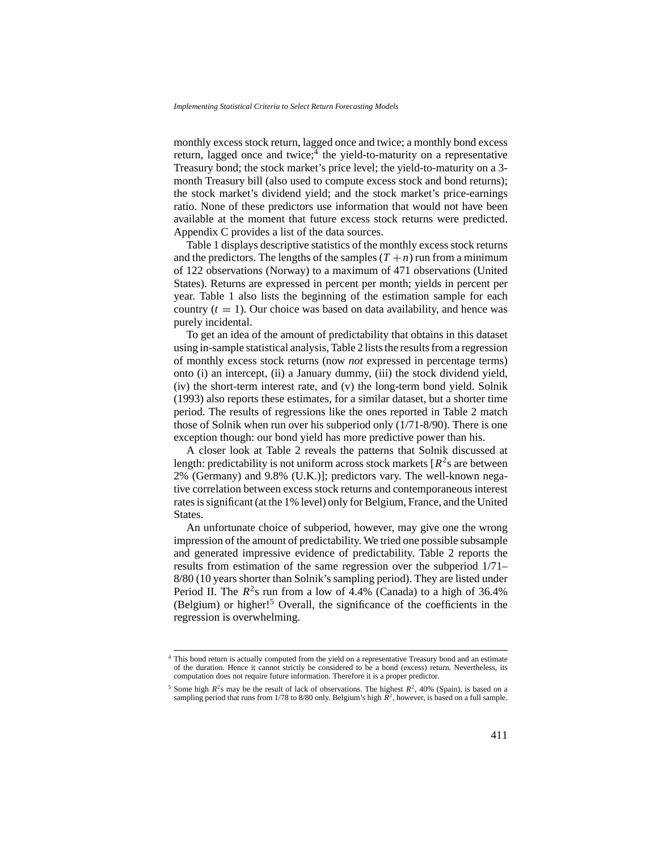monthly excess stock return, lagged once and twice; a monthly bond excess return, lagged once and twice; $4$  the yield-to-maturity on a representative Treasury bond; the stock market's price level; the yield-to-maturity on a 3 month Treasury bill (also used to compute excess stock and bond returns); the stock market's dividend yield; and the stock market's price-earnings ratio. None of these predictors use information that would not have been available at the moment that future excess stock returns were predicted. Appendix C provides a list of the data sources.

Table 1 displays descriptive statistics of the monthly excess stock returns and the predictors. The lengths of the samples  $(T + n)$  run from a minimum of 122 observations (Norway) to a maximum of 471 observations (United States). Returns are expressed in percent per month; yields in percent per year. Table 1 also lists the beginning of the estimation sample for each country  $(t = 1)$ . Our choice was based on data availability, and hence was purely incidental.

To get an idea of the amount of predictability that obtains in this dataset using in-sample statistical analysis, Table 2 lists the results from a regression of monthly excess stock returns (now *not* expressed in percentage terms) onto (i) an intercept, (ii) a January dummy, (iii) the stock dividend yield, (iv) the short-term interest rate, and (v) the long-term bond yield. Solnik (1993) also reports these estimates, for a similar dataset, but a shorter time period. The results of regressions like the ones reported in Table 2 match those of Solnik when run over his subperiod only (1/71-8/90). There is one exception though: our bond yield has more predictive power than his.

A closer look at Table 2 reveals the patterns that Solnik discussed at length: predictability is not uniform across stock markets  $R^2$ s are between 2% (Germany) and 9.8% (U.K.)]; predictors vary. The well-known negative correlation between excess stock returns and contemporaneous interest rates is significant (at the 1% level) only for Belgium, France, and the United States.

An unfortunate choice of subperiod, however, may give one the wrong impression of the amount of predictability. We tried one possible subsample and generated impressive evidence of predictability. Table 2 reports the results from estimation of the same regression over the subperiod 1/71– 8/80 (10 years shorter than Solnik's sampling period). They are listed under Period II. The  $R^2$ s run from a low of 4.4% (Canada) to a high of 36.4% (Belgium) or higher!<sup>5</sup> Overall, the significance of the coefficients in the regression is overwhelming.

<sup>4</sup> This bond return is actually computed from the yield on a representative Treasury bond and an estimate of the duration. Hence it cannot strictly be considered to be a bond (excess) return. Nevertheless, its computation does not require future information. Therefore it is a proper predictor.

<sup>&</sup>lt;sup>5</sup> Some high  $R^2$ s may be the result of lack of observations. The highest  $R^2$ , 40% (Spain), is based on a sampling period that runs from 1/78 to 8/80 only. Belgium's high  $\overline{R}^2$ , however, is based on a full sample.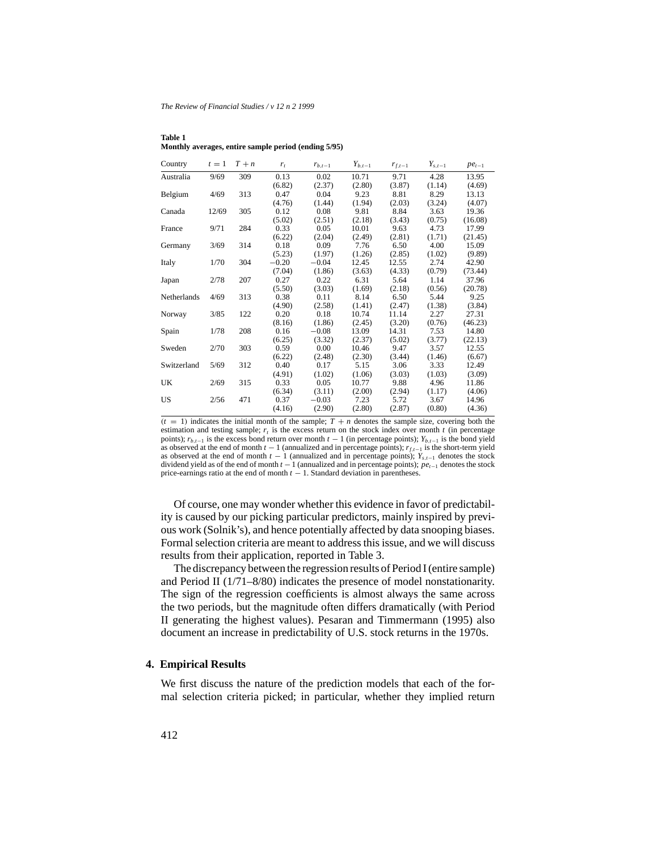*The Review of Financial Studies / v 12 n 2 1999*

| <b>Table 1</b> |                                                      |  |  |  |
|----------------|------------------------------------------------------|--|--|--|
|                | Monthly averages, entire sample period (ending 5/95) |  |  |  |

| Country     | $t=1$ | $T + n$ | $r_t$   | $r_{b,t-1}$ | $Y_{b,t-1}$ | $r_{f,t-1}$ | $Y_{s,t-1}$ | $pe_{t-1}$ |
|-------------|-------|---------|---------|-------------|-------------|-------------|-------------|------------|
| Australia   | 9/69  | 309     | 0.13    | 0.02        | 10.71       | 9.71        | 4.28        | 13.95      |
|             |       |         | (6.82)  | (2.37)      | (2.80)      | (3.87)      | (1.14)      | (4.69)     |
| Belgium     | 4/69  | 313     | 0.47    | 0.04        | 9.23        | 8.81        | 8.29        | 13.13      |
|             |       |         | (4.76)  | (1.44)      | (1.94)      | (2.03)      | (3.24)      | (4.07)     |
| Canada      | 12/69 | 305     | 0.12    | 0.08        | 9.81        | 8.84        | 3.63        | 19.36      |
|             |       |         | (5.02)  | (2.51)      | (2.18)      | (3.43)      | (0.75)      | (16.08)    |
| France      | 9/71  | 284     | 0.33    | 0.05        | 10.01       | 9.63        | 4.73        | 17.99      |
|             |       |         | (6.22)  | (2.04)      | (2.49)      | (2.81)      | (1.71)      | (21.45)    |
| Germany     | 3/69  | 314     | 0.18    | 0.09        | 7.76        | 6.50        | 4.00        | 15.09      |
|             |       |         | (5.23)  | (1.97)      | (1.26)      | (2.85)      | (1.02)      | (9.89)     |
| Italy       | 1/70  | 304     | $-0.20$ | $-0.04$     | 12.45       | 12.55       | 2.74        | 42.90      |
|             |       |         | (7.04)  | (1.86)      | (3.63)      | (4.33)      | (0.79)      | (73.44)    |
| Japan       | 2/78  | 207     | 0.27    | 0.22        | 6.31        | 5.64        | 1.14        | 37.96      |
|             |       |         | (5.50)  | (3.03)      | (1.69)      | (2.18)      | (0.56)      | (20.78)    |
| Netherlands | 4/69  | 313     | 0.38    | 0.11        | 8.14        | 6.50        | 5.44        | 9.25       |
|             |       |         | (4.90)  | (2.58)      | (1.41)      | (2.47)      | (1.38)      | (3.84)     |
| Norway      | 3/85  | 122     | 0.20    | 0.18        | 10.74       | 11.14       | 2.27        | 27.31      |
|             |       |         | (8.16)  | (1.86)      | (2.45)      | (3.20)      | (0.76)      | (46.23)    |
| Spain       | 1/78  | 208     | 0.16    | $-0.08$     | 13.09       | 14.31       | 7.53        | 14.80      |
|             |       |         | (6.25)  | (3.32)      | (2.37)      | (5.02)      | (3.77)      | (22.13)    |
| Sweden      | 2/70  | 303     | 0.59    | 0.00        | 10.46       | 9.47        | 3.57        | 12.55      |
|             |       |         | (6.22)  | (2.48)      | (2.30)      | (3.44)      | (1.46)      | (6.67)     |
| Switzerland | 5/69  | 312     | 0.40    | 0.17        | 5.15        | 3.06        | 3.33        | 12.49      |
|             |       |         | (4.91)  | (1.02)      | (1.06)      | (3.03)      | (1.03)      | (3.09)     |
| UK          | 2/69  | 315     | 0.33    | 0.05        | 10.77       | 9.88        | 4.96        | 11.86      |
|             |       |         | (6.34)  | (3.11)      | (2.00)      | (2.94)      | (1.17)      | (4.06)     |
| <b>US</b>   | 2/56  | 471     | 0.37    | $-0.03$     | 7.23        | 5.72        | 3.67        | 14.96      |
|             |       |         | (4.16)  | (2.90)      | (2.80)      | (2.87)      | (0.80)      | (4.36)     |

 $(t = 1)$  indicates the initial month of the sample;  $T + n$  denotes the sample size, covering both the estimation and testing sample;  $r_t$  is the excess return on the stock index over month  $t$  (in percentage points);  $r_{b,t-1}$  is the excess bond return over month  $t-1$  (in percentage points);  $Y_{b,t-1}$  is the bond yield as observed at the end of month  $t - 1$  (annualized and in percentage points);  $r_{f,t-1}$  is the short-term yield as observed at the end of month  $t - 1$  (annualized and in percentage points);  $Y_{s,t-1}$  denotes the stock dividend yield as of the end of month  $t - 1$  (annualized and in percentage points);  $pe_{t-1}$  denotes the stock price-earnings ratio at the end of month *t* − 1. Standard deviation in parentheses.

Of course, one may wonder whether this evidence in favor of predictability is caused by our picking particular predictors, mainly inspired by previous work (Solnik's), and hence potentially affected by data snooping biases. Formal selection criteria are meant to address this issue, and we will discuss results from their application, reported in Table 3.

The discrepancy between the regression results of Period I (entire sample) and Period II (1/71–8/80) indicates the presence of model nonstationarity. The sign of the regression coefficients is almost always the same across the two periods, but the magnitude often differs dramatically (with Period II generating the highest values). Pesaran and Timmermann (1995) also document an increase in predictability of U.S. stock returns in the 1970s.

## **4. Empirical Results**

We first discuss the nature of the prediction models that each of the formal selection criteria picked; in particular, whether they implied return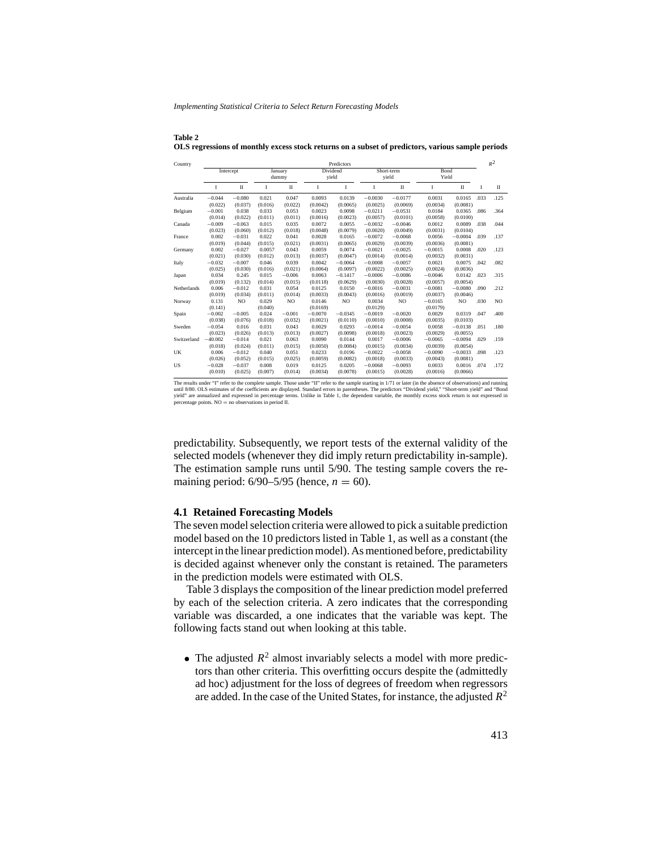*Implementing Statistical Criteria to Select Return Forecasting Models*

**Table 2 OLS regressions of monthly excess stock returns on a subset of predictors, various sample periods**

| Country     | Predictors |                |              |                      |                   |                |                     |                | $R^2$         |                |      |                |
|-------------|------------|----------------|--------------|----------------------|-------------------|----------------|---------------------|----------------|---------------|----------------|------|----------------|
|             |            | Intercept      |              | January<br>dummy     | Dividend<br>vield |                | Short-term<br>vield |                | Bond<br>Yield |                |      |                |
|             | T          | $\mathbf{I}$   | $\mathbf{I}$ | $\scriptstyle\rm II$ | $\mathbf{I}$      | L              | $\mathbf{I}$        | $\rm II$       | I             | $\mathbf{H}$   | L    | $\Pi$          |
| Australia   | $-0.044$   | $-0.080$       | 0.021        | 0.047                | 0.0093            | 0.0139         | $-0.0030$           | $-0.0177$      | 0.0031        | 0.0165         | .033 | .125           |
|             | (0.022)    | (0.037)        | (0.016)      | (0.022)              | (0.0042)          | (0.0065)       | (0.0025)            | (0.0069)       | (0.0034)      | (0.0081)       |      |                |
| Belgium     | $-0.001$   | 0.038          | 0.033        | 0.053                | 0.0023            | 0.0098         | $-0.0211$           | $-0.0531$      | 0.0184        | 0.0365         | .086 | .364           |
|             | (0.014)    | (0.022)        | (0.011)      | (0.011)              | (0.0016)          | (0.0023)       | (0.0057)            | (0.0101)       | (0.0058)      | (0.0100)       |      |                |
| Canada      | $-0.009$   | $-0.063$       | 0.015        | 0.035                | 0.0072            | 0.0055         | $-0.0032$           | $-0.0046$      | 0.0012        | 0.0089         | .038 | .044           |
|             | (0.023)    | (0.060)        | (0.012)      | (0.018)              | (0.0048)          | (0.0079)       | (0.0020)            | (0.0049)       | (0.0031)      | (0.0104)       |      |                |
| France      | 0.002      | $-0.031$       | 0.022        | 0.041                | 0.0028            | 0.0165         | $-0.0072$           | $-0.0068$      | 0.0056        | $-0.0004$      | .039 | .137           |
|             | (0.019)    | (0.044)        | (0.015)      | (0.021)              | (0.0031)          | (0.0065)       | (0.0029)            | (0.0039)       | (0.0036)      | (0.0081)       |      |                |
| Germany     | 0.002      | $-0.027$       | 0.0057       | 0.043                | 0.0059            | 0.0074         | $-0.0021$           | $-0.0025$      | $-0.0015$     | 0.0008         | .020 | .123           |
|             | (0.021)    | (0.030)        | (0.012)      | (0.013)              | (0.0037)          | (0.0047)       | (0.0014)            | (0.0014)       | (0.0032)      | (0.0031)       |      |                |
| Italy       | $-0.032$   | $-0.007$       | 0.046        | 0.039                | 0.0042            | $-0.0064$      | $-0.0008$           | $-0.0057$      | 0.0021        | 0.0075         | .042 | .082           |
|             | (0.025)    | (0.030)        | (0.016)      | (0.021)              | (0.0064)          | (0.0097)       | (0.0022)            | (0.0025)       | (0.0024)      | (0.0036)       |      |                |
| Japan       | 0.034      | 0.245          | 0.015        | $-0.006$             | 0.0063            | $-0.1417$      | $-0.0006$           | $-0.0086$      | $-0.0046$     | 0.0142         | .023 | .315           |
|             | (0.019)    | (0.132)        | (0.014)      | (0.015)              | (0.0118)          | (0.0629)       | (0.0030)            | (0.0028)       | (0.0057)      | (0.0054)       |      |                |
| Netherlands | 0.006      | $-0.012$       | 0.031        | 0.054                | 0.0125            | 0.0150         | $-0.0016$           | $-0.0031$      | $-0.0081$     | $-0.0080$      | .090 | .212           |
|             | (0.019)    | (0.034)        | (0.011)      | (0.014)              | (0.0033)          | (0.0043)       | (0.0016)            | (0.0019)       | (0.0037)      | (0.0046)       |      |                |
| Norway      | 0.131      | N <sub>O</sub> | 0.029        | N <sub>O</sub>       | 0.0146            | N <sub>O</sub> | 0.0034              | N <sub>O</sub> | $-0.0165$     | N <sub>O</sub> | .030 | N <sub>O</sub> |
|             | (0.141)    |                | (0.040)      |                      | (0.0169)          |                | (0.0129)            |                | (0.0179)      |                |      |                |
| Spain       | $-0.002$   | $-0.005$       | 0.024        | $-0.001$             | $-0.0070$         | $-0.0345$      | $-0.0019$           | $-0.0020$      | 0.0029        | 0.0319         | .047 | .400           |
|             | (0.038)    | (0.076)        | (0.018)      | (0.032)              | (0.0021)          | (0.0110)       | (0.0010)            | (0.0008)       | (0.0035)      | (0.0103)       |      |                |
| Sweden      | $-0.054$   | 0.016          | 0.031        | 0.043                | 0.0029            | 0.0293         | $-0.0014$           | $-0.0054$      | 0.0058        | $-0.0138$      | .051 | .180           |
|             | (0.023)    | (0.026)        | (0.013)      | (0.013)              | (0.0027)          | (0.0098)       | (0.0018)            | (0.0023)       | (0.0029)      | (0.0055)       |      |                |
| Switzerland | $-40,002$  | $-0.014$       | 0.021        | 0.063                | 0.0090            | 0.0144         | 0.0017              | $-0.0006$      | $-0.0065$     | $-0.0094$      | .029 | .159           |
|             | (0.018)    | (0.024)        | (0.011)      | (0.015)              | (0.0050)          | (0.0084)       | (0.0015)            | (0.0034)       | (0.0039)      | (0.0054)       |      |                |
| UK          | 0.006      | $-0.012$       | 0.040        | 0.051                | 0.0233            | 0.0196         | $-0.0022$           | $-0.0058$      | $-0.0090$     | $-0.0033$      | .098 | .123           |
|             | (0.026)    | (0.052)        | (0.015)      | (0.025)              | (0.0059)          | (0.0082)       | (0.0018)            | (0.0033)       | (0.0043)      | (0.0081)       |      |                |
| <b>US</b>   | $-0.028$   | $-0.037$       | 0.008        | 0.019                | 0.0125            | 0.0205         | $-0.0068$           | $-0.0093$      | 0.0033        | 0.0016         | .074 | .172           |
|             | (0.010)    | (0.025)        | (0.007)      | (0.014)              | (0.0034)          | (0.0078)       | (0.0015)            | (0.0028)       | (0.0016)      | (0.0066)       |      |                |
|             |            |                |              |                      |                   |                |                     |                |               |                |      |                |

The results under "I" refer to the complete sample. Those under "II" refer to the sample starting in 1/71 or later (in the absence of observations) and running<br>until 8/80. OLS estimates of the coefficients are displayed. S

predictability. Subsequently, we report tests of the external validity of the selected models (whenever they did imply return predictability in-sample). The estimation sample runs until 5/90. The testing sample covers the remaining period:  $6/90-5/95$  (hence,  $n = 60$ ).

## **4.1 Retained Forecasting Models**

The seven model selection criteria were allowed to pick a suitable prediction model based on the 10 predictors listed in Table 1, as well as a constant (the intercept in the linear prediction model). As mentioned before, predictability is decided against whenever only the constant is retained. The parameters in the prediction models were estimated with OLS.

Table 3 displays the composition of the linear prediction model preferred by each of the selection criteria. A zero indicates that the corresponding variable was discarded, a one indicates that the variable was kept. The following facts stand out when looking at this table.

• The adjusted  $R^2$  almost invariably selects a model with more predictors than other criteria. This overfitting occurs despite the (admittedly ad hoc) adjustment for the loss of degrees of freedom when regressors are added. In the case of the United States, for instance, the adjusted  $R^2$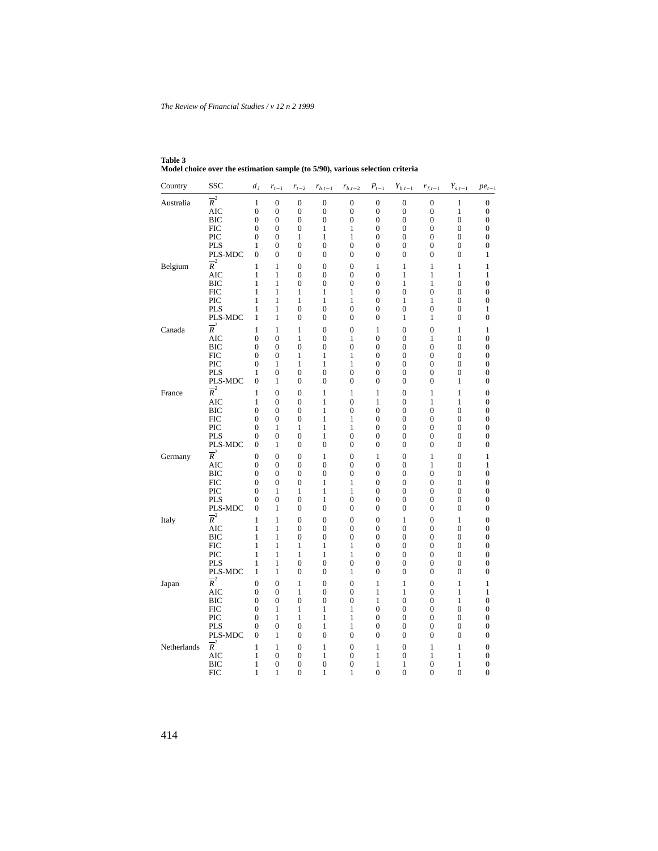## *The Review of Financial Studies / v 12 n 2 1999*

| Country     | SSC               | $d_J$            | $r_{t-1}$         | $r_{t-2}$                        | $r_{b,t-1}$      | $r_{b,t-2}$                          | $P_{t-1}$           | $Y_{b,t-1}$      | $r_{f,t-1}$           | $Y_{s,t-1}$                        | $pe_{t-1}$                         |
|-------------|-------------------|------------------|-------------------|----------------------------------|------------------|--------------------------------------|---------------------|------------------|-----------------------|------------------------------------|------------------------------------|
| Australia   | $\overline{R}^2$  | $\mathbf{1}$     | $\boldsymbol{0}$  | $\boldsymbol{0}$                 | $\boldsymbol{0}$ | $\boldsymbol{0}$                     | $\boldsymbol{0}$    | $\boldsymbol{0}$ | $\boldsymbol{0}$      | $\,1$                              | $\boldsymbol{0}$                   |
|             | AIC               | $\overline{0}$   | $\boldsymbol{0}$  | $\boldsymbol{0}$                 | $\boldsymbol{0}$ | $\boldsymbol{0}$                     | $\boldsymbol{0}$    | $\boldsymbol{0}$ | $\boldsymbol{0}$      | 1                                  | $\boldsymbol{0}$                   |
|             | BIC               | $\boldsymbol{0}$ | $\mathbf{0}$      | $\boldsymbol{0}$                 | $\mathbf{0}$     | $\mathbf{0}$                         | $\boldsymbol{0}$    | $\boldsymbol{0}$ | $\boldsymbol{0}$      | $\mathbf{0}$                       | $\boldsymbol{0}$                   |
|             | <b>FIC</b>        | $\boldsymbol{0}$ | $\boldsymbol{0}$  | $\boldsymbol{0}$                 | 1                | 1                                    | 0                   | $\boldsymbol{0}$ | $\boldsymbol{0}$      | $\mathbf{0}$                       | $\mathbf{0}$                       |
|             | PIC               | $\boldsymbol{0}$ | $\boldsymbol{0}$  | 1                                | $\mathbf{1}$     | $\mathbf{1}$                         | $\boldsymbol{0}$    | $\boldsymbol{0}$ | $\boldsymbol{0}$      | $\boldsymbol{0}$                   | $\boldsymbol{0}$                   |
|             | <b>PLS</b>        | 1                | $\mathbf{0}$      | $\boldsymbol{0}$                 | $\overline{0}$   | $\overline{0}$                       | $\overline{0}$      | $\boldsymbol{0}$ | $\overline{0}$        | $\overline{0}$                     | $\overline{0}$                     |
|             | PLS-MDC           | 0                | $\boldsymbol{0}$  | $\boldsymbol{0}$                 | $\boldsymbol{0}$ | $\boldsymbol{0}$                     | $\boldsymbol{0}$    | $\boldsymbol{0}$ | $\boldsymbol{0}$      | $\boldsymbol{0}$                   | 1                                  |
| Belgium     | $\overline{R}^2$  | 1                | $\mathbf{1}$      | $\mathbf{0}$                     | $\overline{0}$   | $\overline{0}$                       | $\mathbf{1}$        | $\mathbf{1}$     | $\mathbf{1}$          | 1                                  | $\mathbf{1}$                       |
|             |                   |                  |                   |                                  |                  |                                      |                     |                  |                       |                                    |                                    |
|             | AIC<br><b>BIC</b> | 1<br>1           | 1<br>$\mathbf{1}$ | $\boldsymbol{0}$<br>$\mathbf{0}$ | 0<br>0           | $\boldsymbol{0}$<br>$\boldsymbol{0}$ | 0<br>0              | 1<br>1           | 1<br>1                | 1<br>$\overline{0}$                | 1<br>$\boldsymbol{0}$              |
|             |                   | 1                | 1                 |                                  | 1                | 1                                    |                     | $\boldsymbol{0}$ |                       |                                    |                                    |
|             | <b>FIC</b><br>PIC | 1                | $\mathbf{1}$      | 1<br>$\mathbf{1}$                | $\mathbf{1}$     | $\mathbf{1}$                         | 0<br>$\overline{0}$ | $\mathbf{1}$     | $\boldsymbol{0}$<br>1 | $\boldsymbol{0}$<br>$\overline{0}$ | $\boldsymbol{0}$<br>$\overline{0}$ |
|             | <b>PLS</b>        |                  |                   |                                  |                  |                                      |                     |                  |                       |                                    |                                    |
|             |                   | 1                | 1                 | $\boldsymbol{0}$                 | 0                | $\mathbf{0}$                         | 0                   | 0                | $\boldsymbol{0}$      | $\boldsymbol{0}$                   | 1                                  |
|             | PLS-MDC           | 1                | 1                 | $\boldsymbol{0}$                 | $\mathbf{0}$     | $\overline{0}$                       | 0                   | 1                | 1                     | $\mathbf{0}$                       | 0                                  |
| Canada      | $\overline{R}^2$  | 1                | 1                 | 1                                | 0                | $\mathbf{0}$                         | 1                   | $\boldsymbol{0}$ | $\boldsymbol{0}$      | 1                                  | 1                                  |
|             | AIC               | $\boldsymbol{0}$ | $\mathbf{0}$      | $\mathbf{1}$                     | $\boldsymbol{0}$ | $\mathbf{1}$                         | $\boldsymbol{0}$    | $\boldsymbol{0}$ | 1                     | $\boldsymbol{0}$                   | $\boldsymbol{0}$                   |
|             | BIC               | $\mathbf{0}$     | $\boldsymbol{0}$  | $\boldsymbol{0}$                 | 0                | $\mathbf{0}$                         | 0                   | $\boldsymbol{0}$ | $\boldsymbol{0}$      | $\boldsymbol{0}$                   | $\boldsymbol{0}$                   |
|             | <b>FIC</b>        | $\mathbf{0}$     | $\overline{0}$    | $\mathbf{1}$                     | 1                | $\mathbf{1}$                         | $\mathbf{0}$        | $\boldsymbol{0}$ | $\overline{0}$        | $\overline{0}$                     | $\overline{0}$                     |
|             | PIC               | 0                | 1                 | 1                                | 1                | 1                                    | 0                   | 0                | 0                     | $\mathbf{0}$                       | 0                                  |
|             | <b>PLS</b>        | 1                | $\mathbf{0}$      | $\mathbf{0}$                     | $\overline{0}$   | $\overline{0}$                       | $\overline{0}$      | $\overline{0}$   | $\overline{0}$        | $\overline{0}$                     | $\overline{0}$                     |
|             | PLS-MDC           | 0                | 1                 | $\boldsymbol{0}$                 | $\boldsymbol{0}$ | $\boldsymbol{0}$                     | 0                   | 0                | $\boldsymbol{0}$      | 1                                  | 0                                  |
| France      | $\overline{R}^2$  | $\mathbf{1}$     | $\mathbf{0}$      | $\boldsymbol{0}$                 | $\mathbf{1}$     | $\mathbf{1}$                         | $\mathbf{1}$        | $\boldsymbol{0}$ | $\mathbf{1}$          | $\mathbf{1}$                       | $\mathbf{0}$                       |
|             | AIC               | 1                | $\boldsymbol{0}$  | $\boldsymbol{0}$                 | $\mathbf{1}$     | $\mathbf{0}$                         | $\mathbf{1}$        | $\boldsymbol{0}$ | 1                     | 1                                  | $\boldsymbol{0}$                   |
|             | BIC               | 0                | $\boldsymbol{0}$  | $\boldsymbol{0}$                 | 1                | $\boldsymbol{0}$                     | $\boldsymbol{0}$    | $\boldsymbol{0}$ | $\boldsymbol{0}$      | $\boldsymbol{0}$                   | 0                                  |
|             | FIC               | 0                | $\boldsymbol{0}$  | $\boldsymbol{0}$                 | 1                | 1                                    | $\boldsymbol{0}$    | 0                | $\boldsymbol{0}$      | $\boldsymbol{0}$                   | 0                                  |
|             | PIC               | $\boldsymbol{0}$ | $\mathbf{1}$      | $\mathbf{1}$                     | $\mathbf{1}$     | $\mathbf{1}$                         | $\boldsymbol{0}$    | $\boldsymbol{0}$ | $\boldsymbol{0}$      | $\boldsymbol{0}$                   | $\boldsymbol{0}$                   |
|             | <b>PLS</b>        | 0                | $\mathbf{0}$      | 0                                | 1                | $\mathbf{0}$                         | 0                   | 0                | $\mathbf{0}$          | $\mathbf{0}$                       | 0                                  |
|             | PLS-MDC           | 0                | 1                 | $\boldsymbol{0}$                 | $\mathbf{0}$     | $\boldsymbol{0}$                     | 0                   | $\boldsymbol{0}$ | $\boldsymbol{0}$      | $\boldsymbol{0}$                   | $\boldsymbol{0}$                   |
| Germany     | $\overline{R}^2$  | $\boldsymbol{0}$ | $\overline{0}$    | $\boldsymbol{0}$                 | 1                | $\boldsymbol{0}$                     | 1                   | $\boldsymbol{0}$ | 1                     | $\boldsymbol{0}$                   | 1                                  |
|             | AIC               | $\boldsymbol{0}$ | $\mathbf{0}$      | $\boldsymbol{0}$                 | $\boldsymbol{0}$ | $\boldsymbol{0}$                     | $\boldsymbol{0}$    | $\boldsymbol{0}$ | 1                     | $\boldsymbol{0}$                   | $\mathbf{1}$                       |
|             | <b>BIC</b>        | $\mathbf{0}$     | $\overline{0}$    | $\boldsymbol{0}$                 | $\overline{0}$   | $\overline{0}$                       | $\boldsymbol{0}$    | $\boldsymbol{0}$ | $\boldsymbol{0}$      | $\overline{0}$                     | $\overline{0}$                     |
|             | <b>FIC</b>        | 0                | $\boldsymbol{0}$  | $\mathbf{0}$                     | $\mathbf{1}$     | $\mathbf{1}$                         | $\boldsymbol{0}$    | $\boldsymbol{0}$ | $\boldsymbol{0}$      | $\boldsymbol{0}$                   | $\boldsymbol{0}$                   |
|             | PIC               | $\mathbf{0}$     | 1                 | 1                                | 1                | 1                                    | 0                   | $\boldsymbol{0}$ | $\boldsymbol{0}$      | $\overline{0}$                     | $\mathbf{0}$                       |
|             | <b>PLS</b>        | 0                | $\boldsymbol{0}$  | $\boldsymbol{0}$                 | 1                | 0                                    | 0                   | 0                | 0                     | $\boldsymbol{0}$                   | 0                                  |
|             | PLS-MDC           | $\overline{0}$   | 1                 | $\boldsymbol{0}$                 | $\boldsymbol{0}$ | $\overline{0}$                       | 0                   | $\boldsymbol{0}$ | $\boldsymbol{0}$      | $\overline{0}$                     | 0                                  |
| Italy       | $\overline{R}^2$  | $\mathbf{1}$     | $\mathbf{1}$      | $\boldsymbol{0}$                 | $\boldsymbol{0}$ | $\mathbf{0}$                         | $\boldsymbol{0}$    | $\mathbf{1}$     | $\boldsymbol{0}$      | $\mathbf{1}$                       | $\boldsymbol{0}$                   |
|             | AIC               | $\mathbf{1}$     | $\mathbf{1}$      | $\boldsymbol{0}$                 | $\mathbf{0}$     | $\mathbf{0}$                         | 0                   | $\overline{0}$   | $\boldsymbol{0}$      | $\mathbf{0}$                       | 0                                  |
|             | ВIС               | $\mathbf{1}$     | $\mathbf{1}$      | $\boldsymbol{0}$                 | $\boldsymbol{0}$ | $\boldsymbol{0}$                     | $\boldsymbol{0}$    | $\boldsymbol{0}$ | $\boldsymbol{0}$      | $\boldsymbol{0}$                   | $\boldsymbol{0}$                   |
|             | FIC               | 1                | 1                 | 1                                | 1                | 1                                    | 0                   | 0                | $\boldsymbol{0}$      | $\boldsymbol{0}$                   | 0                                  |
|             | PIC               | $\mathbf{1}$     | $\mathbf{1}$      | $\mathbf{1}$                     | $\mathbf{1}$     | $\mathbf{1}$                         | $\boldsymbol{0}$    | $\boldsymbol{0}$ | $\boldsymbol{0}$      | $\boldsymbol{0}$                   | 0                                  |
|             | PLS               | 1                | $\mathbf{1}$      | $\overline{0}$                   | $\boldsymbol{0}$ | $\overline{0}$                       | $\boldsymbol{0}$    | $\boldsymbol{0}$ | $\boldsymbol{0}$      | $\boldsymbol{0}$                   | 0                                  |
|             | PLS-MDC           | 1                | $\mathbf{1}$      | $\boldsymbol{0}$                 | 0                | $\mathbf{1}$                         | $\boldsymbol{0}$    | $\boldsymbol{0}$ | $\boldsymbol{0}$      | $\boldsymbol{0}$                   | 0                                  |
|             | $\overline{R}^2$  |                  |                   |                                  |                  |                                      |                     |                  |                       |                                    |                                    |
| Japan       |                   | $\overline{0}$   | $\overline{0}$    | $\mathbf{1}$                     | $\overline{0}$   | $\mathbf{0}$                         | $\mathbf{1}$        | $\mathbf{1}$     | $\boldsymbol{0}$      | 1                                  | $\mathbf{1}$                       |
|             | <b>AIC</b>        | 0                | $\boldsymbol{0}$  | 1                                | 0                | $\boldsymbol{0}$                     | 1                   | 1                | $\boldsymbol{0}$      | 1                                  | 1                                  |
|             | <b>BIC</b>        | $\overline{0}$   | $\overline{0}$    | $\mathbf{0}$                     | $\overline{0}$   | $\overline{0}$                       | $\mathbf{1}$        | $\overline{0}$   | $\overline{0}$        | $\mathbf{1}$                       | $\overline{0}$                     |
|             | FIC               | $\overline{0}$   | $\mathbf{1}$      | $\mathbf{1}$                     | $\mathbf{1}$     | $\mathbf{1}$                         | $\boldsymbol{0}$    | $\boldsymbol{0}$ | $\boldsymbol{0}$      | $\boldsymbol{0}$                   | $\overline{0}$                     |
|             | PIC               | $\mathbf{0}$     | 1                 | $\mathbf{1}$                     | 1                | 1                                    | 0                   | $\boldsymbol{0}$ | $\boldsymbol{0}$      | $\mathbf{0}$                       | $\mathbf{0}$                       |
|             | <b>PLS</b>        | $\boldsymbol{0}$ | $\mathbf{0}$      | $\boldsymbol{0}$                 | 1                | 1                                    | 0                   | $\boldsymbol{0}$ | $\boldsymbol{0}$      | $\boldsymbol{0}$                   | $\boldsymbol{0}$                   |
|             | PLS-MDC           | $\boldsymbol{0}$ | 1                 | $\boldsymbol{0}$                 | $\overline{0}$   | $\overline{0}$                       | $\boldsymbol{0}$    | $\boldsymbol{0}$ | $\boldsymbol{0}$      | $\boldsymbol{0}$                   | $\overline{0}$                     |
| Netherlands | $\overline{R}^2$  | $\mathbf{1}$     | $\mathbf{1}$      | $\mathbf{0}$                     | $\mathbf{1}$     | $\overline{0}$                       | 1                   | $\overline{0}$   | 1                     | 1                                  | $\overline{0}$                     |
|             | AIC               | $\mathbf{1}$     | $\overline{0}$    | $\boldsymbol{0}$                 | $\mathbf{1}$     | $\overline{0}$                       | $\mathbf{1}$        | $\boldsymbol{0}$ | 1                     | $\mathbf{1}$                       | 0                                  |
|             | BIC               | 1                | $\boldsymbol{0}$  | $\boldsymbol{0}$                 | $\boldsymbol{0}$ | $\boldsymbol{0}$                     | 1                   | 1                | 0                     | 1                                  | $\boldsymbol{0}$                   |
|             | FIC               | 1                | 1                 | $\theta$                         | 1                | 1                                    | $\overline{0}$      | $\theta$         | $\theta$              | $\theta$                           | $\theta$                           |

**Table 3 Model choice over the estimation sample (to 5/90), various selection criteria**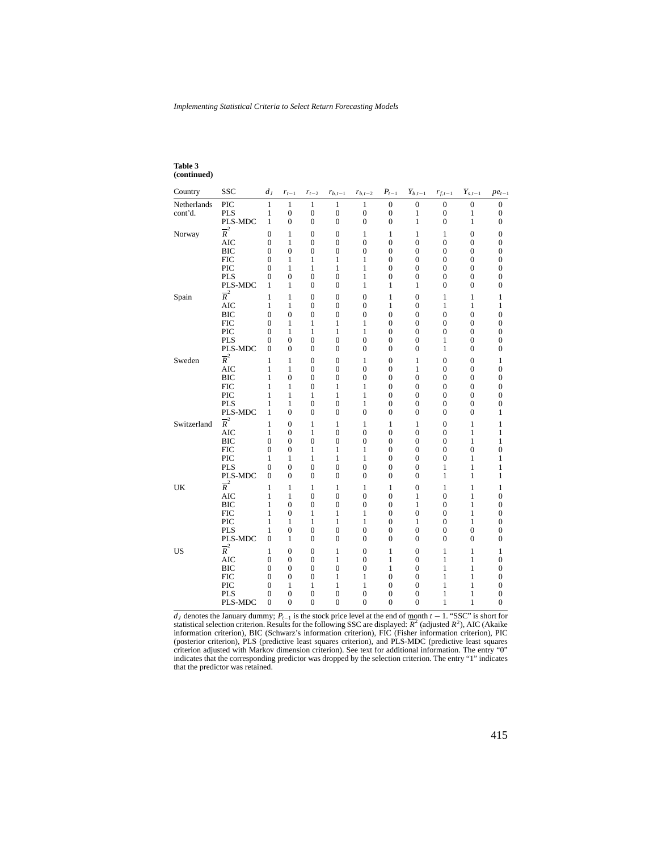*Implementing Statistical Criteria to Select Return Forecasting Models*

# **Table 3 (continued)**

| Country     | <b>SSC</b>        | $d_J$               | $r_{t-1}$                      | $r_{t-2}$                      | $r_{b,t-1}$                    | $r_{b,t-2}$                    | $P_{t-1}$                        | $\mathcal{Y}_{b,t-1}$            | $r_{f,t-1}$                    | $Y_{s,t-1}$       | $pe_{t-1}$       |
|-------------|-------------------|---------------------|--------------------------------|--------------------------------|--------------------------------|--------------------------------|----------------------------------|----------------------------------|--------------------------------|-------------------|------------------|
| Netherlands | PIC               | $\mathbf{1}$        | $\mathbf{1}$                   | $\mathbf{1}$                   | $\mathbf{1}$                   | $\mathbf{1}$                   | $\overline{0}$                   | $\overline{0}$                   | $\overline{0}$                 | $\overline{0}$    | $\boldsymbol{0}$ |
| cont'd.     | <b>PLS</b>        | 1                   | $\boldsymbol{0}$               | $\boldsymbol{0}$               | $\boldsymbol{0}$               | $\boldsymbol{0}$               | $\boldsymbol{0}$                 | $\mathbf{1}$                     | $\boldsymbol{0}$               | 1                 | $\boldsymbol{0}$ |
|             | PLS-MDC           | $\mathbf{1}$        | $\mathbf{0}$                   | $\overline{0}$                 | $\mathbf{0}$                   | $\boldsymbol{0}$               | $\mathbf{0}$                     | $\mathbf{1}$                     | $\overline{0}$                 | $\mathbf{1}$      | $\overline{0}$   |
| Norway      | $\overline{R}^2$  | $\overline{0}$      | $\mathbf{1}$                   | $\overline{0}$                 | $\boldsymbol{0}$               | 1                              | 1                                | 1                                | 1                              | $\overline{0}$    | $\boldsymbol{0}$ |
|             | <b>AIC</b>        | $\boldsymbol{0}$    | 1                              | $\boldsymbol{0}$               | 0                              | $\boldsymbol{0}$               | 0                                | 0                                | $\boldsymbol{0}$               | $\mathbf{0}$      | 0                |
|             | BIC               | 0                   | $\overline{0}$                 | $\boldsymbol{0}$               | $\mathbf{0}$                   | $\mathbf{0}$                   | 0                                | $\mathbf{0}$                     | $\mathbf{0}$                   | 0                 | $\mathbf{0}$     |
|             | <b>FIC</b>        | $\mathbf{0}$        | 1                              | 1                              | 1                              | 1                              | $\mathbf{0}$                     | $\mathbf{0}$                     | $\mathbf{0}$                   | $\mathbf{0}$      | $\mathbf{0}$     |
|             | PIC               | 0                   | 1                              | 1                              | 1                              | 1                              | $\mathbf{0}$                     | $\mathbf{0}$                     | $\mathbf{0}$                   | 0                 | $\mathbf{0}$     |
|             | <b>PLS</b>        | 0                   | $\mathbf{0}$                   | $\mathbf{0}$                   | $\mathbf{0}$                   | 1                              | $\mathbf{0}$                     | $\mathbf{0}$                     | $\mathbf{0}$                   | 0                 | $\mathbf{0}$     |
|             | PLS-MDC           | $\mathbf{1}$        | $\mathbf{1}$                   | $\overline{0}$                 | $\mathbf{0}$                   | 1                              | $\mathbf{1}$                     | $\mathbf{1}$                     | $\overline{0}$                 | $\overline{0}$    | $\overline{0}$   |
| Spain       | $\overline{R}^2$  | 1                   | $\mathbf{1}$                   | $\overline{0}$                 | 0                              | $\boldsymbol{0}$               | 1                                | 0                                | 1                              | 1                 | 1                |
|             | <b>AIC</b>        | 1                   | $\mathbf{1}$                   | $\mathbf{0}$                   | $\mathbf{0}$                   | $\mathbf{0}$                   | 1                                | $\mathbf{0}$                     | 1                              | 1                 | 1                |
|             | <b>BIC</b>        | $\mathbf{0}$        | 0                              | $\mathbf{0}$                   | 0                              | $\boldsymbol{0}$               | 0                                | 0                                | $\boldsymbol{0}$               | $\mathbf{0}$      | $\boldsymbol{0}$ |
|             | <b>FIC</b>        | $\overline{0}$      | 1                              | 1                              | 1                              | 1                              | $\overline{0}$                   | $\overline{0}$                   | $\mathbf{0}$                   | 0                 | $\boldsymbol{0}$ |
|             | PIC               | $\mathbf{0}$        | 1                              | 1                              | 1                              | 1                              | 0                                | 0                                | $\mathbf{0}$                   | $\mathbf{0}$      | $\boldsymbol{0}$ |
|             | <b>PLS</b>        | 0                   | $\mathbf{0}$                   | 0                              | 0                              | $\boldsymbol{0}$               | 0                                | 0                                | 1                              | 0                 | $\boldsymbol{0}$ |
|             | PLS-MDC           | $\boldsymbol{0}$    | 0                              | $\boldsymbol{0}$               | $\boldsymbol{0}$               | $\theta$                       | $\overline{0}$                   | 0                                | 1                              | $\theta$          | $\theta$         |
| Sweden      | $\overline{R}^2$  | $\mathbf{1}$        | $\mathbf{1}$                   | $\overline{0}$                 | $\overline{0}$                 | 1                              | $\overline{0}$                   | 1                                | $\theta$                       | $\theta$          |                  |
|             | <b>AIC</b>        | $\mathbf{1}$        | $\mathbf{1}$                   | $\overline{0}$                 | $\overline{0}$                 | $\overline{0}$                 | $\overline{0}$                   | 1                                | $\theta$                       | 0                 | 1<br>$\theta$    |
|             | <b>BIC</b>        | 1                   | $\overline{0}$                 | $\overline{0}$                 | $\theta$                       | $\theta$                       | $\theta$                         | $\overline{0}$                   | $\Omega$                       | $\theta$          | 0                |
|             | <b>FIC</b>        | $\mathbf{1}$        | $\mathbf{1}$                   | $\overline{0}$                 | 1                              | 1                              | $\mathbf{0}$                     | $\mathbf{0}$                     | $\theta$                       | 0                 | 0                |
|             | PIC               | 1                   | 1                              | 1                              | 1                              | 1                              | $\mathbf{0}$                     | $\mathbf{0}$                     | $\theta$                       | $\theta$          | 0                |
|             | <b>PLS</b>        | $\mathbf{1}$        | $\mathbf{1}$                   | $\overline{0}$                 | $\mathbf{0}$                   | 1                              | $\mathbf{0}$                     | 0                                | $\theta$                       | 0                 | 0                |
|             | PLS-MDC           | $\mathbf{1}$        | $\mathbf{0}$                   | 0                              | $\mathbf{0}$                   | $\overline{0}$                 | $\mathbf{0}$                     | $\overline{0}$                   | $\theta$                       | $\overline{0}$    | 1                |
|             | $\overline{R}^2$  |                     |                                |                                |                                |                                |                                  |                                  |                                |                   |                  |
| Switzerland |                   | 1                   | $\mathbf{0}$                   | 1                              | 1                              | 1                              | 1                                | 1                                | $\boldsymbol{0}$               | 1                 | 1                |
|             | <b>AIC</b>        | 1                   | 0                              | 1                              | 0                              | $\boldsymbol{0}$               | 0                                | $\boldsymbol{0}$                 | 0                              | 1                 | 1                |
|             | <b>BIC</b>        | 0                   | 0                              | $\boldsymbol{0}$               | 0                              | $\boldsymbol{0}$               | 0                                | 0                                | $\boldsymbol{0}$               | 1                 | 1                |
|             | <b>FIC</b>        | $\boldsymbol{0}$    | $\mathbf{0}$                   | 1                              | 1                              | 1                              | $\mathbf{0}$                     | $\mathbf{0}$                     | $\mathbf{0}$                   | $\mathbf{0}$      | 0                |
|             | PIC<br><b>PLS</b> | 1<br>$\overline{0}$ | $\mathbf{1}$<br>$\overline{0}$ | $\mathbf{1}$<br>$\overline{0}$ | $\mathbf{1}$<br>$\overline{0}$ | 1                              | $\overline{0}$<br>$\overline{0}$ | $\overline{0}$<br>$\overline{0}$ | $\overline{0}$<br>$\mathbf{1}$ | $\mathbf{1}$      | 1                |
|             | PLS-MDC           | $\theta$            | $\overline{0}$                 | $\overline{0}$                 | $\overline{0}$                 | $\mathbf{0}$<br>$\overline{0}$ | $\overline{0}$                   | $\overline{0}$                   | $\mathbf{1}$                   | 1<br>$\mathbf{1}$ | 1<br>1           |
|             |                   |                     |                                |                                |                                |                                |                                  |                                  |                                |                   |                  |
| UK          | $\overline{R}^2$  | 1                   | $\mathbf{1}$                   | 1                              | 1                              | 1                              | 1                                | $\mathbf{0}$                     | 1                              | 1                 | 1                |
|             | <b>AIC</b>        | 1                   | 1                              | $\overline{0}$                 | $\mathbf{0}$                   | $\mathbf{0}$                   | $\mathbf{0}$                     | 1                                | $\mathbf{0}$                   | 1                 | $\mathbf{0}$     |
|             | <b>BIC</b>        | $\mathbf{1}$        | $\mathbf{0}$                   | $\mathbf{0}$                   | $\mathbf{0}$                   | $\boldsymbol{0}$               | 0                                | 1                                | $\boldsymbol{0}$               | 1                 | $\mathbf{0}$     |
|             | <b>FIC</b>        | 1                   | $\mathbf{0}$                   | 1                              | 1                              | 1                              | $\mathbf{0}$                     | $\overline{0}$                   | $\mathbf{0}$                   | 1                 | 0                |
|             | PIC               | 1                   | 1                              | 1                              | 1                              | 1                              | 0                                | 1                                | $\mathbf{0}$                   | 1                 | 0                |
|             | PLS               | 1                   | $\mathbf{0}$                   | $\boldsymbol{0}$               | $\mathbf{0}$                   | $\mathbf{0}$                   | 0                                | 0                                | $\mathbf{0}$                   | $\mathbf{0}$      | 0                |
|             | PLS-MDC           | 0                   | 1                              | 0                              | 0                              | $\boldsymbol{0}$               | 0                                | 0                                | $\boldsymbol{0}$               | 0                 | $\mathbf{0}$     |
| US          | $\overline{R}^2$  | $\mathbf{1}$        | $\overline{0}$                 | $\overline{0}$                 | 1                              | $\boldsymbol{0}$               | 1                                | 0                                | 1                              | 1                 | 1                |
|             | <b>AIC</b>        | $\overline{0}$      | $\overline{0}$                 | $\overline{0}$                 | 1                              | $\overline{0}$                 | 1                                | $\overline{0}$                   | 1                              | 1                 | $\mathbf{0}$     |
|             | <b>BIC</b>        | $\overline{0}$      | $\overline{0}$                 | $\overline{0}$                 | $\overline{0}$                 | $\overline{0}$                 | 1                                | $\mathbf{0}$                     | 1                              | 1                 | $\boldsymbol{0}$ |
|             | <b>FIC</b>        | $\mathbf{0}$        | $\overline{0}$                 | $\overline{0}$                 | 1                              | 1                              | $\mathbf{0}$                     | $\mathbf{0}$                     | 1                              | 1                 | $\mathbf{0}$     |
|             | PIC               | $\overline{0}$      | 1                              | 1                              | 1                              | 1                              | $\mathbf{0}$                     | $\mathbf{0}$                     | 1                              | 1                 | $\mathbf{0}$     |
|             | <b>PLS</b>        | 0                   | $\mathbf{0}$                   | $\overline{0}$                 | 0                              | $\mathbf{0}$                   | 0                                | $\mathbf{0}$                     | 1                              | 1                 | $\boldsymbol{0}$ |
|             | PLS-MDC           | $\overline{0}$      | $\theta$                       | $\theta$                       | $\theta$                       | $\theta$                       | $\theta$                         | $\theta$                         | 1                              | 1                 | $\theta$         |

 $d_J$  denotes the January dummy;  $P_{t-1}$  is the stock price level at the end of month  $t - 1$ . "SSC" is short for statistical selection criterion. Results for the following SSC are displayed:  $R^2$  (adjusted  $R^2$ ), AIC (A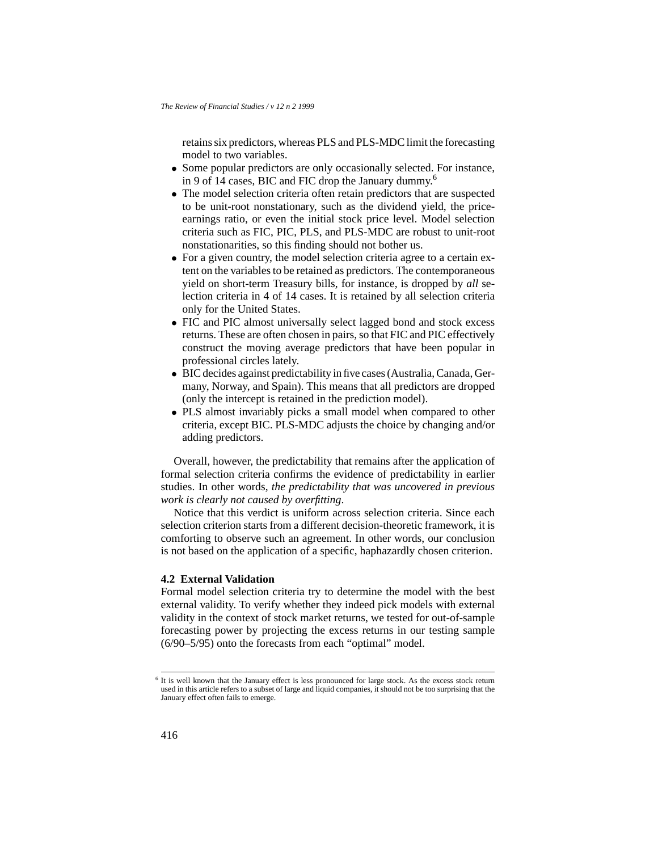retains six predictors, whereas PLS and PLS-MDC limit the forecasting model to two variables.

- Some popular predictors are only occasionally selected. For instance, in 9 of 14 cases, BIC and FIC drop the January dummy.6
- The model selection criteria often retain predictors that are suspected to be unit-root nonstationary, such as the dividend yield, the priceearnings ratio, or even the initial stock price level. Model selection criteria such as FIC, PIC, PLS, and PLS-MDC are robust to unit-root nonstationarities, so this finding should not bother us.
- For a given country, the model selection criteria agree to a certain extent on the variables to be retained as predictors. The contemporaneous yield on short-term Treasury bills, for instance, is dropped by *all* selection criteria in 4 of 14 cases. It is retained by all selection criteria only for the United States.
- FIC and PIC almost universally select lagged bond and stock excess returns. These are often chosen in pairs, so that FIC and PIC effectively construct the moving average predictors that have been popular in professional circles lately.
- BIC decides against predictability in five cases (Australia, Canada, Germany, Norway, and Spain). This means that all predictors are dropped (only the intercept is retained in the prediction model).
- PLS almost invariably picks a small model when compared to other criteria, except BIC. PLS-MDC adjusts the choice by changing and/or adding predictors.

Overall, however, the predictability that remains after the application of formal selection criteria confirms the evidence of predictability in earlier studies. In other words, *the predictability that was uncovered in previous work is clearly not caused by overfitting*.

Notice that this verdict is uniform across selection criteria. Since each selection criterion starts from a different decision-theoretic framework, it is comforting to observe such an agreement. In other words, our conclusion is not based on the application of a specific, haphazardly chosen criterion.

## **4.2 External Validation**

Formal model selection criteria try to determine the model with the best external validity. To verify whether they indeed pick models with external validity in the context of stock market returns, we tested for out-of-sample forecasting power by projecting the excess returns in our testing sample (6/90–5/95) onto the forecasts from each "optimal" model.

<sup>&</sup>lt;sup>6</sup> It is well known that the January effect is less pronounced for large stock. As the excess stock return used in this article refers to a subset of large and liquid companies, it should not be too surprising that the January effect often fails to emerge.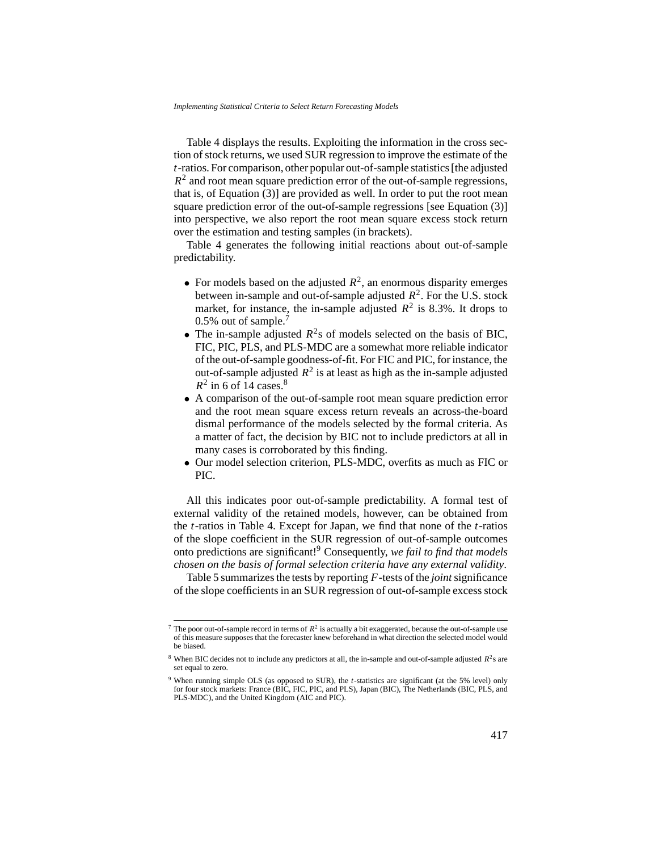Table 4 displays the results. Exploiting the information in the cross section of stock returns, we used SUR regression to improve the estimate of the *t*-ratios. For comparison, other popular out-of-sample statistics [the adjusted  $R<sup>2</sup>$  and root mean square prediction error of the out-of-sample regressions, that is, of Equation (3)] are provided as well. In order to put the root mean square prediction error of the out-of-sample regressions [see Equation (3)] into perspective, we also report the root mean square excess stock return over the estimation and testing samples (in brackets).

Table 4 generates the following initial reactions about out-of-sample predictability.

- For models based on the adjusted  $R^2$ , an enormous disparity emerges between in-sample and out-of-sample adjusted  $R^2$ . For the U.S. stock market, for instance, the in-sample adjusted  $R^2$  is 8.3%. It drops to 0.5% out of sample.<sup>7</sup>
- The in-sample adjusted  $R^2$ s of models selected on the basis of BIC, FIC, PIC, PLS, and PLS-MDC are a somewhat more reliable indicator of the out-of-sample goodness-of-fit. For FIC and PIC, for instance, the out-of-sample adjusted  $R^2$  is at least as high as the in-sample adjusted  $R^2$  in 6 of 14 cases.<sup>8</sup>
- A comparison of the out-of-sample root mean square prediction error and the root mean square excess return reveals an across-the-board dismal performance of the models selected by the formal criteria. As a matter of fact, the decision by BIC not to include predictors at all in many cases is corroborated by this finding.
- Our model selection criterion, PLS-MDC, overfits as much as FIC or PIC.

All this indicates poor out-of-sample predictability. A formal test of external validity of the retained models, however, can be obtained from the *t*-ratios in Table 4. Except for Japan, we find that none of the *t*-ratios of the slope coefficient in the SUR regression of out-of-sample outcomes onto predictions are significant!9 Consequently, *we fail to find that models chosen on the basis of formal selection criteria have any external validity*.

Table 5 summarizes the tests by reporting *F*-tests of the *joint*significance of the slope coefficients in an SUR regression of out-of-sample excess stock

<sup>&</sup>lt;sup>7</sup> The poor out-of-sample record in terms of  $R^2$  is actually a bit exaggerated, because the out-of-sample use of this measure supposes that the forecaster knew beforehand in what direction the selected model would be biased.

<sup>&</sup>lt;sup>8</sup> When BIC decides not to include any predictors at all, the in-sample and out-of-sample adjusted  $R^2$ s are set equal to zero.

<sup>9</sup> When running simple OLS (as opposed to SUR), the *t*-statistics are significant (at the 5% level) only for four stock markets: France (BIC, FIC, PIC, and PLS), Japan (BIC), The Netherlands (BIC, PLS, and PLS-MDC), and the United Kingdom (AIC and PIC).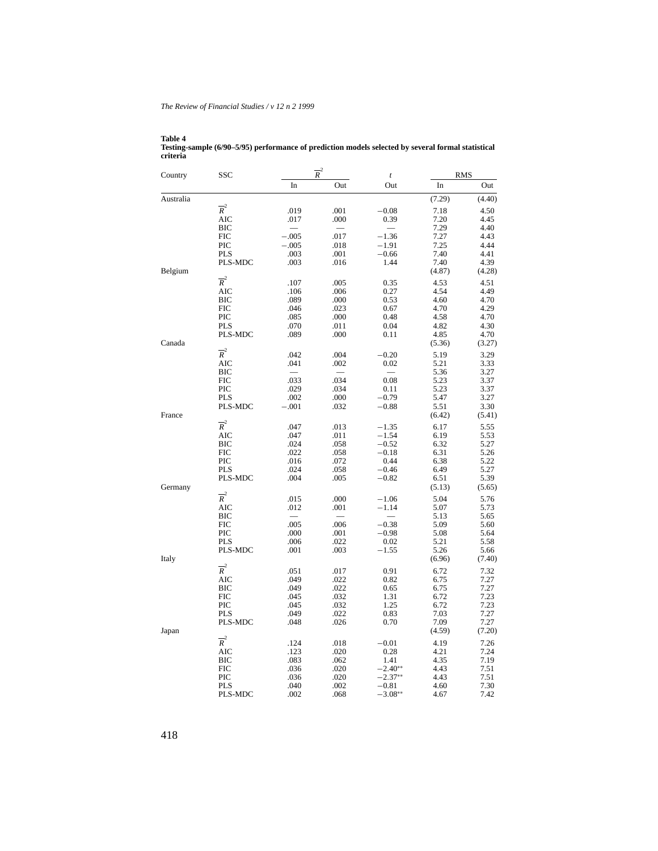| Country   | SSC              |                 | $\overline{R}^2$ | $\boldsymbol{t}$   |                | <b>RMS</b>   |  |  |
|-----------|------------------|-----------------|------------------|--------------------|----------------|--------------|--|--|
|           |                  | In              | Out              | Out                | In             | Out          |  |  |
| Australia |                  |                 |                  |                    | (7.29)         | (4.40)       |  |  |
|           | $\overline{R}^2$ | .019            | .001             | $-0.08$            | 7.18           | 4.50         |  |  |
|           | <b>AIC</b>       | .017            | .000             | 0.39               | 7.20           | 4.45         |  |  |
|           | <b>BIC</b>       |                 |                  |                    | 7.29           | 4.40         |  |  |
|           | FIC              | $-.005$         | .017             | $-1.36$            | 7.27           | 4.43         |  |  |
|           | PIC              | $-.005$         | .018             | $-1.91$            | 7.25           | 4.44         |  |  |
|           | <b>PLS</b>       | .003            | .001             | $-0.66$            | 7.40           | 4.41         |  |  |
|           | PLS-MDC          | .003            | .016             | 1.44               | 7.40           | 4.39         |  |  |
| Belgium   |                  |                 |                  |                    | (4.87)         | (4.28)       |  |  |
|           | $\overline{R}^2$ | .107            | .005             | 0.35               | 4.53           | 4.51         |  |  |
|           | <b>AIC</b>       | .106            | .006             | 0.27               | 4.54           | 4.49         |  |  |
|           | <b>BIC</b>       | .089            | .000             | 0.53               | 4.60           | 4.70         |  |  |
|           | <b>FIC</b>       | .046            | .023             | 0.67               | 4.70           | 4.29         |  |  |
|           | PIC              | .085            | .000             | 0.48               | 4.58           | 4.70         |  |  |
|           | PLS              | .070            | .011             | 0.04               | 4.82           | 4.30         |  |  |
|           | PLS-MDC          | .089            | .000             | 0.11               | 4.85           | 4.70         |  |  |
| Canada    |                  |                 |                  |                    | (5.36)         | (3.27)       |  |  |
|           | $\overline{R}^2$ | .042            |                  | $-0.20$            | 5.19           | 3.29         |  |  |
|           | <b>AIC</b>       | .041            | .004<br>.002     | 0.02               | 5.21           | 3.33         |  |  |
|           | <b>BIC</b>       |                 |                  |                    | 5.36           | 3.27         |  |  |
|           | <b>FIC</b>       | .033            | .034             | 0.08               | 5.23           | 3.37         |  |  |
|           |                  |                 |                  |                    |                |              |  |  |
|           | PIC<br>PLS       | .029            | .034             | 0.11               | 5.23<br>5.47   | 3.37<br>3.27 |  |  |
|           |                  | .002<br>$-.001$ | .000             | $-0.79$<br>$-0.88$ |                | 3.30         |  |  |
| France    | PLS-MDC          |                 | .032             |                    | 5.51<br>(6.42) |              |  |  |
|           | $\overline{R}^2$ |                 |                  |                    |                | (5.41)       |  |  |
|           |                  | .047            | .013             | $-1.35$            | 6.17           | 5.55         |  |  |
|           | <b>AIC</b>       | .047            | .011             | $-1.54$            | 6.19           | 5.53         |  |  |
|           | <b>BIC</b>       | .024            | .058             | $-0.52$            | 6.32           | 5.27         |  |  |
|           | FIC              | .022            | .058             | $-0.18$            | 6.31           | 5.26         |  |  |
|           | PIC              | .016            | .072             | 0.44               | 6.38           | 5.22         |  |  |
|           | <b>PLS</b>       | .024            | .058             | $-0.46$            | 6.49           | 5.27         |  |  |
|           | PLS-MDC          | .004            | .005             | $-0.82$            | 6.51           | 5.39         |  |  |
| Germany   |                  |                 |                  |                    | (5.13)         | (5.65)       |  |  |
|           | $\overline{R}^2$ | .015            | .000             | $-1.06$            | 5.04           | 5.76         |  |  |
|           | <b>AIC</b>       | .012            | .001             | $-1.14$            | 5.07           | 5.73         |  |  |
|           | <b>BIC</b>       |                 |                  |                    | 5.13           | 5.65         |  |  |
|           | <b>FIC</b>       | .005            | .006             | $-0.38$            | 5.09           | 5.60         |  |  |
|           | PIC              | .000            | .001             | $-0.98$            | 5.08           | 5.64         |  |  |
|           | PLS              | .006            | .022             | 0.02               | 5.21           | 5.58         |  |  |
|           | PLS-MDC          | .001            | .003             | $-1.55$            | 5.26           | 5.66         |  |  |
| Italy     |                  |                 |                  |                    | (6.96)         | (7.40)       |  |  |
|           | $\overline{R}^2$ | .051            | .017             | 0.91               | 6.72           | 7.32         |  |  |
|           | <b>AIC</b>       | .049            | .022             | 0.82               | 6.75           | 7.27         |  |  |
|           | <b>BIC</b>       | .049            | .022             | 0.65               | 6.75           | 7.27         |  |  |
|           | <b>FIC</b>       | .045            | .032             | 1.31               | 6.72           | 7.23         |  |  |
|           | PIC              | .045            | .032             | 1.25               | 6.72           | 7.23         |  |  |
|           | <b>PLS</b>       | .049            | .022             | 0.83               | 7.03           | 7.27         |  |  |
|           | PLS-MDC          | .048            | .026             | 0.70               | 7.09           | 7.27         |  |  |
| Japan     |                  |                 |                  |                    | (4.59)         | (7.20)       |  |  |
|           | $\overline{R}^2$ |                 |                  |                    |                |              |  |  |
|           |                  | .124            | .018             | $-0.01$            | 4.19           | 7.26         |  |  |
|           | <b>AIC</b>       | .123            | .020             | 0.28               | 4.21           | 7.24         |  |  |
|           | <b>BIC</b>       | .083            | .062             | 1.41               | 4.35           | 7.19         |  |  |
|           | FIC              | .036            | .020             | $-2.40**$          | 4.43           | 7.51         |  |  |
|           | PIC              | .036            | .020             | $-2.37**$          | 4.43           | 7.51         |  |  |
|           | <b>PLS</b>       | .040            | .002             | $-0.81$            | 4.60           | 7.30         |  |  |
|           | PLS-MDC          | .002            | .068             | $-3.08**$          | 4.67           | 7.42         |  |  |

**Table 4 Testing-sample (6/90–5/95) performance of prediction models selected by several formal statistical criteria**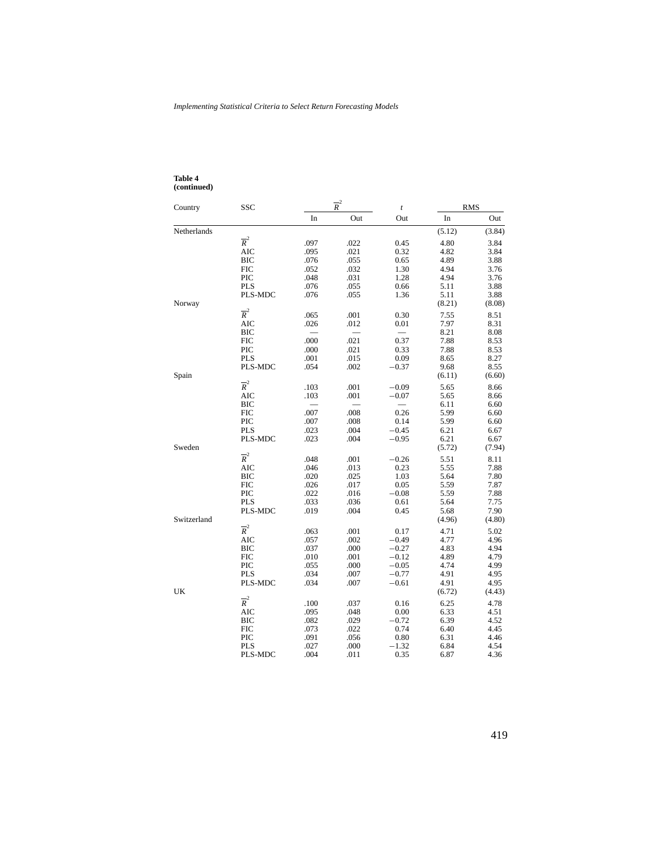### *Implementing Statistical Criteria to Select Return Forecasting Models*

**Table 4**

#### **(continued)** Country **SSC**  $\overline{R}^2$ *t* RMS In Out Out In Out Netherlands (5.12) (3.84)  $\overline{R}^2$ .097 .022 0.45 4.80 3.84 AIC .095 .021 0.32 4.82 3.84 BIC .076 .055 0.65 4.89 3.88 FIC .052 .032 1.30 4.94 3.76 PIC .048 .031 1.28 4.94 3.76 PLS .076 .055 0.66 5.11 3.88 PLS-MDC .076 .055 1.36 5.11 3.88 (8.21) (8.08) Norway (8.21) (8.08)  $R^2$ .065 .001 0.30 7.55 8.51 AIC .026 .012 0.01 7.97 8.31 BIC — —  $-$  8.21 8.08 FIC .000 .021 0.37 7.88 8.53 PIC .000 .021 0.33 7.88 8.53 PLS .001 .015 0.09 8.65 8.27 PLS-MDC .054 .002 −0.37 9.68 8.55<br>
(6.11) (6.60) Spain (6.11) (6.60)  $\overline{R}^2$ .103 .001 −0.09 5.65 8.66 AIC .103 .001 −0.07 5.65 8.66 BIC — — — 6.11 6.60 FIC .007 .008 0.26 5.99 6.60 PIC .007 .008 0.14 5.99 6.60 PLS .023 .004 −0.45 6.21 6.67 PLS .023 .004 −0.45 6.21 6.67<br>
PLS-MDC .023 .004 −0.95 6.21 6.67<br>
(5.72) (7.94) Sweden (5.72) (7.94)  $\overline{R}^2$ .048 .001 −0.26 5.51 8.11<br>.046 .013 0.23 5.55 7.88 AIC .046 .013 0.23 5.55 7.88 BIC .020 .025 1.03 5.64 7.80 FIC .026 .017 0.05 5.59 7.87 PIC .022 .016 −0.08 5.59 7.88 PLS .033 .036 0.61 5.64 7.75 PLS-MDC .019 .004 0.45 5.68 7.90<br>(4.80) (4.80) Switzerland (4.96)<br>  $\overline{R}^2$  0.63 0.01 0.17 4.71<br>
AIC 0.657 0.02 -0.49 4.77  $\overline{R}^2$ .063 .001 0.17 4.71 5.02 AIC .057 .002 −0.49 4.77 4.96 BIC .037 .000 −0.27 4.83 4.94 FIC .010 .001 −0.12 4.89 4.79 PIC .055 .000 −0.05 4.74 4.99 PLS .034 .007 −0.77 4.91 4.95 PLS-MDC .034 .007 −0.61 4.91 4.95<br>(6.72) (4.43) UK  $(6.72)$  (4.43)  $\overline{R}^2$ .100 .037 0.16 6.25 4.78 AIC .095 .048 0.00 6.33 4.51 BIC .082 .029 −0.72 6.39 4.52 FIC .073 .022 0.74 6.40 4.45 PIC .091 .056 0.80 6.31 4.46 PLS .027 .000 −1.32 6.84 4.54 PLS-MDC .004 .011 0.35 6.87 4.36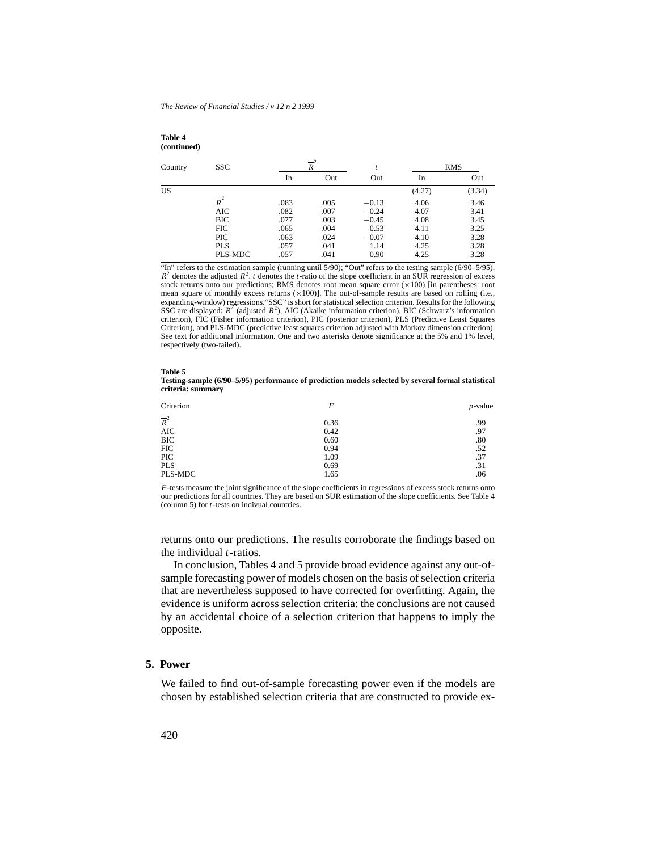#### **Table 4 (continued)**

**Table 5**

| Country | <b>SSC</b>       | $\overline{R}^2$ |      |         |        | <b>RMS</b> |
|---------|------------------|------------------|------|---------|--------|------------|
|         |                  | In               | Out  | Out     | In     | Out        |
| US      |                  |                  |      |         | (4.27) | (3.34)     |
|         | $\overline{R}^2$ | .083             | .005 | $-0.13$ | 4.06   | 3.46       |
|         | <b>AIC</b>       | .082             | .007 | $-0.24$ | 4.07   | 3.41       |
|         | <b>BIC</b>       | .077             | .003 | $-0.45$ | 4.08   | 3.45       |
|         | <b>FIC</b>       | .065             | .004 | 0.53    | 4.11   | 3.25       |
|         | <b>PIC</b>       | .063             | .024 | $-0.07$ | 4.10   | 3.28       |
|         | <b>PLS</b>       | .057             | .041 | 1.14    | 4.25   | 3.28       |
|         | PLS-MDC          | .057             | .041 | 0.90    | 4.25   | 3.28       |

"In" refers to the estimation sample (running until 5/90); "Out" refers to the testing sample (6/90–5/95).<br> $\overline{R}^2$  denotes the adjusted  $R^2$ . *t* denotes the *t*-ratio of the slope coefficient in an SUR regression of stock returns onto our predictions; RMS denotes root mean square error (×100) [in parentheses: root mean square of monthly excess returns  $(\times 100)$ ]. The out-of-sample results are based on rolling (i.e., expanding-window) regressions. "SSC" is short for statistical selection criterion. Results for the following SSC are displayed:  $R^2$  (adjusted  $R^2$ ), AIC (Akaike information criterion), BIC (Schwarz's information criterion), FIC (Fisher information criterion), PIC (posterior criterion), PLS (Predictive Least Squares Criterion), and PLS-MDC (predictive least squares criterion adjusted with Markov dimension criterion). See text for additional information. One and two asterisks denote significance at the 5% and 1% level, respectively (two-tailed).

| criteria: summary | Testing-sample (6/90–5/95) performance of prediction models selected by several formal statistical |                 |
|-------------------|----------------------------------------------------------------------------------------------------|-----------------|
| Criterion         |                                                                                                    | <i>p</i> -value |
| $-2$              | $\sim$ $\sim$                                                                                      |                 |

| Criterion        |      | $p$ -value     |  |  |
|------------------|------|----------------|--|--|
| $\overline{R}^2$ | 0.36 | .99            |  |  |
| <b>AIC</b>       | 0.42 | .97            |  |  |
| BIC              | 0.60 | .80            |  |  |
| FIC              | 0.94 | $.52$<br>$.37$ |  |  |
| <b>PIC</b>       | 1.09 |                |  |  |
| <b>PLS</b>       | 0.69 | .31            |  |  |
| PLS-MDC          | 1.65 | .06            |  |  |
|                  |      |                |  |  |

*F*-tests measure the joint significance of the slope coefficients in regressions of excess stock returns onto our predictions for all countries. They are based on SUR estimation of the slope coefficients. See Table 4 (column 5) for *t*-tests on indivual countries.

returns onto our predictions. The results corroborate the findings based on the individual *t*-ratios.

In conclusion, Tables 4 and 5 provide broad evidence against any out-ofsample forecasting power of models chosen on the basis of selection criteria that are nevertheless supposed to have corrected for overfitting. Again, the evidence is uniform across selection criteria: the conclusions are not caused by an accidental choice of a selection criterion that happens to imply the opposite.

## **5. Power**

We failed to find out-of-sample forecasting power even if the models are chosen by established selection criteria that are constructed to provide ex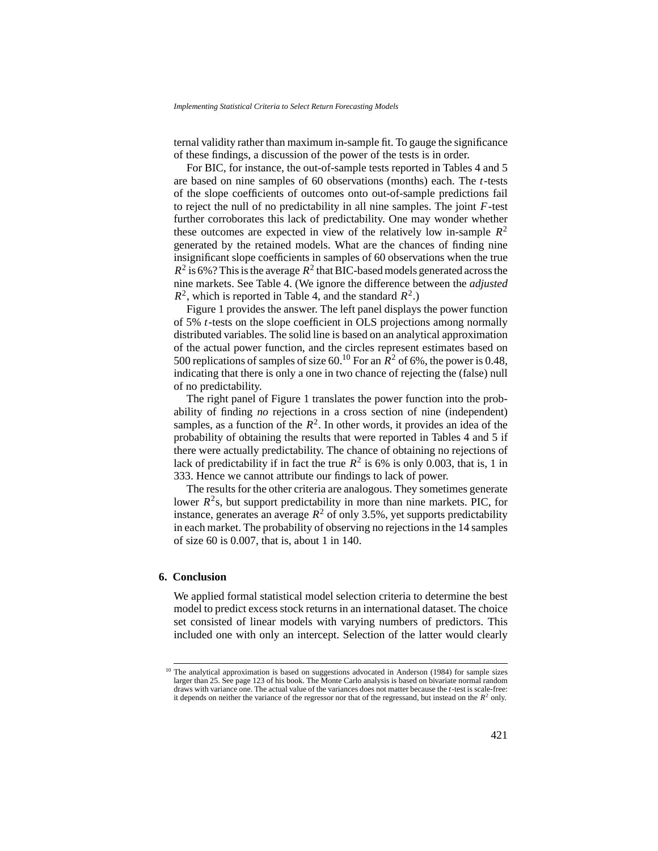ternal validity rather than maximum in-sample fit. To gauge the significance of these findings, a discussion of the power of the tests is in order.

For BIC, for instance, the out-of-sample tests reported in Tables 4 and 5 are based on nine samples of 60 observations (months) each. The *t*-tests of the slope coefficients of outcomes onto out-of-sample predictions fail to reject the null of no predictability in all nine samples. The joint *F*-test further corroborates this lack of predictability. One may wonder whether these outcomes are expected in view of the relatively low in-sample  $R^2$ generated by the retained models. What are the chances of finding nine insignificant slope coefficients in samples of 60 observations when the true  $R^2$  is 6%? This is the average  $R^2$  that BIC-based models generated across the nine markets. See Table 4. (We ignore the difference between the *adjusted*  $R^2$ , which is reported in Table 4, and the standard  $R^2$ .)

Figure 1 provides the answer. The left panel displays the power function of 5% *t*-tests on the slope coefficient in OLS projections among normally distributed variables. The solid line is based on an analytical approximation of the actual power function, and the circles represent estimates based on 500 replications of samples of size  $60<sup>10</sup>$  For an  $R<sup>2</sup>$  of 6%, the power is 0.48, indicating that there is only a one in two chance of rejecting the (false) null of no predictability.

The right panel of Figure 1 translates the power function into the probability of finding *no* rejections in a cross section of nine (independent) samples, as a function of the  $R^2$ . In other words, it provides an idea of the probability of obtaining the results that were reported in Tables 4 and 5 if there were actually predictability. The chance of obtaining no rejections of lack of predictability if in fact the true  $R^2$  is 6% is only 0.003, that is, 1 in 333. Hence we cannot attribute our findings to lack of power.

The results for the other criteria are analogous. They sometimes generate lower  $R^2$ s, but support predictability in more than nine markets. PIC, for instance, generates an average  $R^2$  of only 3.5%, yet supports predictability in each market. The probability of observing no rejections in the 14 samples of size 60 is 0.007, that is, about 1 in 140.

## **6. Conclusion**

We applied formal statistical model selection criteria to determine the best model to predict excess stock returns in an international dataset. The choice set consisted of linear models with varying numbers of predictors. This included one with only an intercept. Selection of the latter would clearly

<sup>&</sup>lt;sup>10</sup> The analytical approximation is based on suggestions advocated in Anderson (1984) for sample sizes larger than 25. See page 123 of his book. The Monte Carlo analysis is based on bivariate normal random draws with variance one. The actual value of the variances does not matter because the *t*-test is scale-free: it depends on neither the variance of the regressor nor that of the regressand, but instead on the  $R<sup>2</sup>$  only.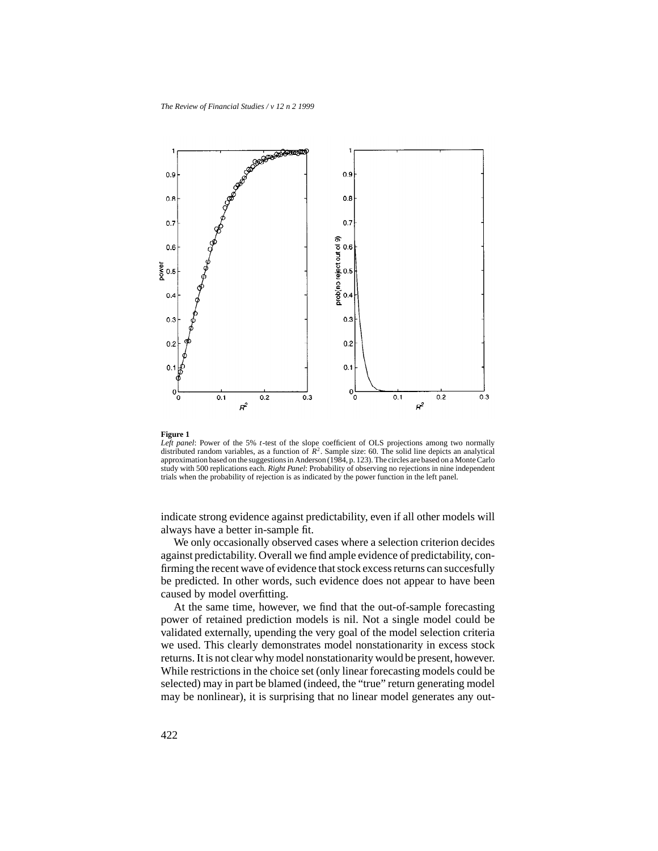



*Left panel*: Power of the 5% *t*-test of the slope coefficient of OLS projections among two normally distributed random variables, as a function of *R*2. Sample size: 60. The solid line depicts an analytical approximation based on the suggestions in Anderson (1984, p. 123). The circles are based on a Monte Carlo study with 500 replications each. *Right Panel*: Probability of observing no rejections in nine independent trials when the probability of rejection is as indicated by the power function in the left panel.

indicate strong evidence against predictability, even if all other models will always have a better in-sample fit.

We only occasionally observed cases where a selection criterion decides against predictability. Overall we find ample evidence of predictability, confirming the recent wave of evidence that stock excess returns can succesfully be predicted. In other words, such evidence does not appear to have been caused by model overfitting.

At the same time, however, we find that the out-of-sample forecasting power of retained prediction models is nil. Not a single model could be validated externally, upending the very goal of the model selection criteria we used. This clearly demonstrates model nonstationarity in excess stock returns. It is not clear why model nonstationarity would be present, however. While restrictions in the choice set (only linear forecasting models could be selected) may in part be blamed (indeed, the "true" return generating model may be nonlinear), it is surprising that no linear model generates any out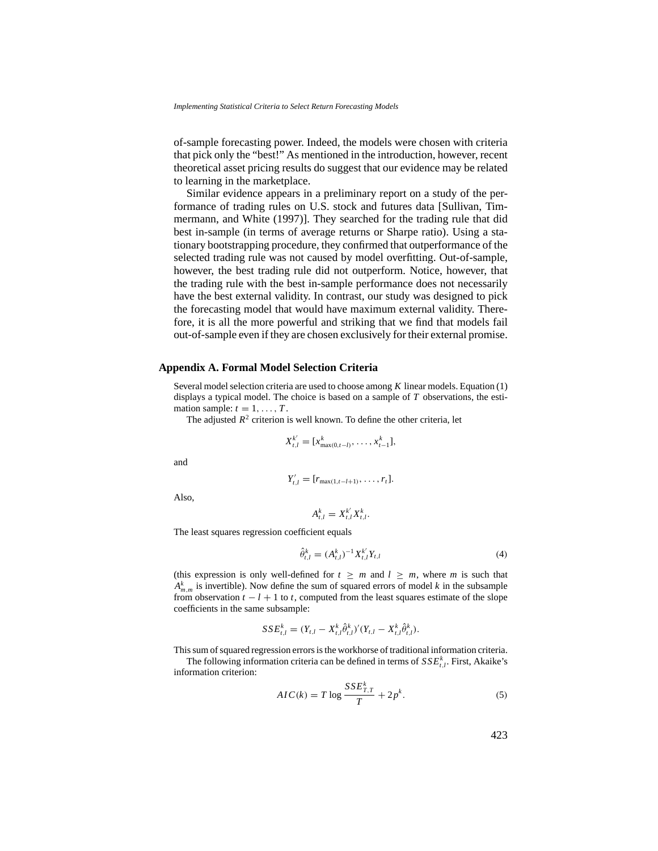of-sample forecasting power. Indeed, the models were chosen with criteria that pick only the "best!" As mentioned in the introduction, however, recent theoretical asset pricing results do suggest that our evidence may be related to learning in the marketplace.

Similar evidence appears in a preliminary report on a study of the performance of trading rules on U.S. stock and futures data [Sullivan, Timmermann, and White (1997)]. They searched for the trading rule that did best in-sample (in terms of average returns or Sharpe ratio). Using a stationary bootstrapping procedure, they confirmed that outperformance of the selected trading rule was not caused by model overfitting. Out-of-sample, however, the best trading rule did not outperform. Notice, however, that the trading rule with the best in-sample performance does not necessarily have the best external validity. In contrast, our study was designed to pick the forecasting model that would have maximum external validity. Therefore, it is all the more powerful and striking that we find that models fail out-of-sample even if they are chosen exclusively for their external promise.

## **Appendix A. Formal Model Selection Criteria**

Several model selection criteria are used to choose among *K* linear models. Equation (1) displays a typical model. The choice is based on a sample of *T* observations, the estimation sample:  $t = 1, \ldots, T$ .

The adjusted  $R^2$  criterion is well known. To define the other criteria, let

$$
X_{t,l}^{k'} = [x_{\max(0,t-l)}^k, \ldots, x_{t-1}^k],
$$

and

$$
Y'_{t,l} = [r_{\max(1,t-l+1)}, \ldots, r_t].
$$

Also,

$$
A_{t,l}^k = X_{t,l}^{k'} X_{t,l}^k.
$$

The least squares regression coefficient equals

$$
\hat{\theta}_{t,l}^k = (A_{t,l}^k)^{-1} X_{t,l}^{k'} Y_{t,l} \tag{4}
$$

(this expression is only well-defined for  $t \geq m$  and  $l \geq m$ , where *m* is such that  $A_{m,m}^k$  is invertible). Now define the sum of squared errors of model *k* in the subsample from observation  $t - l + 1$  to  $t$ , computed from the least squares estimate of the slope coefficients in the same subsample:

$$
SSE_{t,l}^{k} = (Y_{t,l} - X_{t,l}^{k} \hat{\theta}_{t,l}^{k})'(Y_{t,l} - X_{t,l}^{k} \hat{\theta}_{t,l}^{k}).
$$

This sum of squared regression errors is the workhorse of traditional information criteria.

The following information criteria can be defined in terms of *SSE<sup>k</sup> t*,*l* . First, Akaike's information criterion:

$$
AIC(k) = T \log \frac{SSE_{T,T}^k}{T} + 2p^k.
$$
 (5)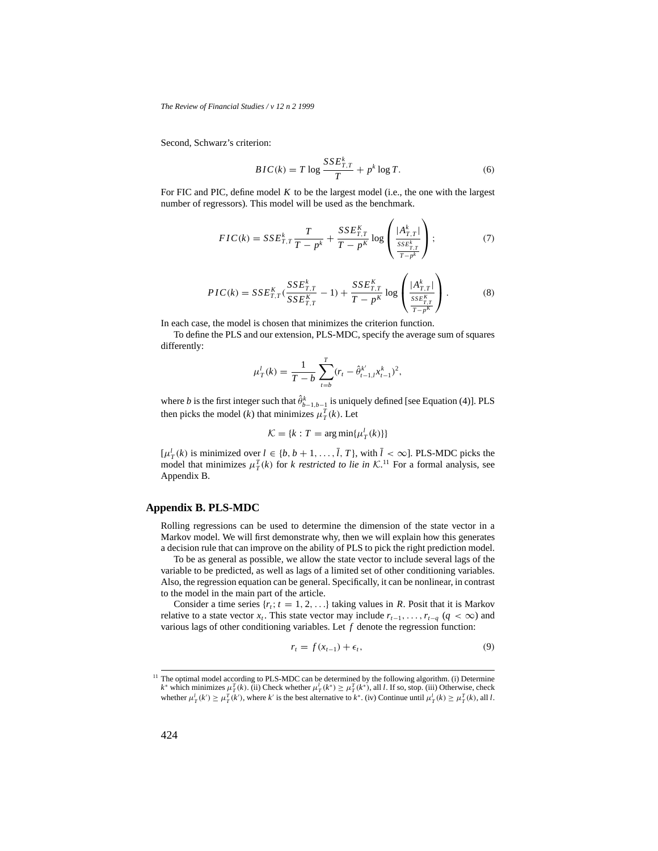*The Review of Financial Studies / v 12 n 2 1999*

Second, Schwarz's criterion:

$$
BIC(k) = T \log \frac{SSE_{T,T}^k}{T} + p^k \log T.
$$
 (6)

For FIC and PIC, define model *K* to be the largest model (i.e., the one with the largest number of regressors). This model will be used as the benchmark.

$$
FIC(k) = SSE_{T,T}^{k} \frac{T}{T - p^{k}} + \frac{SSE_{T,T}^{K}}{T - p^{K}} \log \left( \frac{|A_{T,T}^{k}|}{\frac{SSE_{T,T}^{k}}{T - p^{k}}} \right);
$$
 (7)

$$
PIC(k) = SSE_{T,T}^{K}(\frac{SSE_{T,T}^{k}}{SSE_{T,T}^{K}} - 1) + \frac{SSE_{T,T}^{K}}{T - p^{K}} \log \left( \frac{|A_{T,T}^{k}|}{\frac{SSE_{T,T}^{K}}{T - p^{K}}} \right).
$$
 (8)

In each case, the model is chosen that minimizes the criterion function.

To define the PLS and our extension, PLS-MDC, specify the average sum of squares differently:

$$
\mu_T^l(k) = \frac{1}{T-b} \sum_{t=b}^T (r_t - \hat{\theta}_{t-1,l}^{k'} x_{t-1}^k)^2,
$$

where *b* is the first integer such that  $\hat{\theta}_{b-1,b-1}^k$  is uniquely defined [see Equation (4)]. PLS then picks the model  $(k)$  that minimizes  $\mu_T^T(k)$ . Let

$$
\mathcal{K} = \{k : T = \arg\min\{\mu^l_T(k)\}\}
$$

 $[\mu_T^l(k)]$  is minimized over  $l \in \{b, b + 1, \ldots, \overline{l}, T\}$ , with  $\overline{l} < \infty$ ]. PLS-MDC picks the model that minimizes  $\mu_T^T(k)$  for *k restricted to lie in* K.<sup>11</sup> For a formal analysis, see Appendix B.

## **Appendix B. PLS-MDC**

Rolling regressions can be used to determine the dimension of the state vector in a Markov model. We will first demonstrate why, then we will explain how this generates a decision rule that can improve on the ability of PLS to pick the right prediction model.

To be as general as possible, we allow the state vector to include several lags of the variable to be predicted, as well as lags of a limited set of other conditioning variables. Also, the regression equation can be general. Specifically, it can be nonlinear, in contrast to the model in the main part of the article.

Consider a time series  $\{r_t; t = 1, 2, \ldots\}$  taking values in *R*. Posit that it is Markov relative to a state vector *x<sub>t</sub>*. This state vector may include  $r_{t-1}, \ldots, r_{t-q}$  ( $q < \infty$ ) and various lags of other conditioning variables. Let *f* denote the regression function:

$$
r_t = f(x_{t-1}) + \epsilon_t, \tag{9}
$$

<sup>&</sup>lt;sup>11</sup> The optimal model according to PLS-MDC can be determined by the following algorithm. (i) Determine  $k^*$  which minimizes  $\mu_T^T(k)$ . (ii) Check whether  $\mu_T^T(k^*) \ge \mu_T^T(k^*)$ , all *l*. If so, stop. (iii) Otherwise, chec whether  $\mu_T^l(k') \ge \mu_T^T(k')$ , where k' is the best alternative to k\*. (iv) Continue until  $\mu_T^l(k) \ge \mu_T^T(k)$ , all l.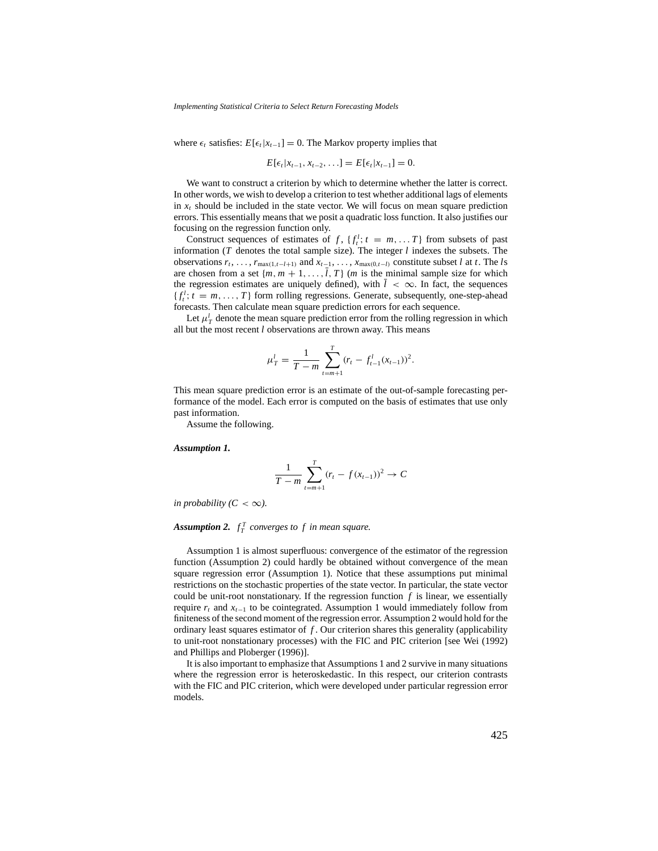where  $\epsilon_t$  satisfies:  $E[\epsilon_t | x_{t-1}] = 0$ . The Markov property implies that

$$
E[\epsilon_t | x_{t-1}, x_{t-2}, \ldots] = E[\epsilon_t | x_{t-1}] = 0.
$$

We want to construct a criterion by which to determine whether the latter is correct. In other words, we wish to develop a criterion to test whether additional lags of elements in  $x_t$  should be included in the state vector. We will focus on mean square prediction errors. This essentially means that we posit a quadratic loss function. It also justifies our focusing on the regression function only.

Construct sequences of estimates of f,  $\{f_t^l; t = m, \ldots T\}$  from subsets of past information (*T* denotes the total sample size). The integer *l* indexes the subsets. The observations  $r_t$ , ...,  $r_{\text{max}(1,t-l+1)}$  and  $x_{t-1}$ , ...,  $x_{\text{max}(0,t-l)}$  constitute subset *l* at *t*. The *ls* are chosen from a set  $\{m, m + 1, \ldots, \overline{l}, T\}$  (*m* is the minimal sample size for which the regression estimates are uniquely defined), with  $\overline{l} < \infty$ . In fact, the sequences  ${f_t}^l$ ;  $t = m, ..., T$  form rolling regressions. Generate, subsequently, one-step-ahead forecasts. Then calculate mean square prediction errors for each sequence.

Let  $\mu_T^l$  denote the mean square prediction error from the rolling regression in which all but the most recent *l* observations are thrown away. This means

$$
\mu_T^l = \frac{1}{T-m} \sum_{t=m+1}^T (r_t - f_{t-1}^l(x_{t-1}))^2.
$$

This mean square prediction error is an estimate of the out-of-sample forecasting performance of the model. Each error is computed on the basis of estimates that use only past information.

Assume the following.

*Assumption 1.*

$$
\frac{1}{T-m} \sum_{t=m+1}^{T} (r_t - f(x_{t-1}))^2 \to C
$$

*in probability (C <*  $\infty$ ).

# **Assumption 2.**  $f_T^T$  converges to  $f$  in mean square.

Assumption 1 is almost superfluous: convergence of the estimator of the regression function (Assumption 2) could hardly be obtained without convergence of the mean square regression error (Assumption 1). Notice that these assumptions put minimal restrictions on the stochastic properties of the state vector. In particular, the state vector could be unit-root nonstationary. If the regression function  $f$  is linear, we essentially require *rt* and *xt*<sup>−</sup><sup>1</sup> to be cointegrated. Assumption 1 would immediately follow from finiteness of the second moment of the regression error. Assumption 2 would hold for the ordinary least squares estimator of *f* . Our criterion shares this generality (applicability to unit-root nonstationary processes) with the FIC and PIC criterion [see Wei (1992) and Phillips and Ploberger (1996)].

It is also important to emphasize that Assumptions 1 and 2 survive in many situations where the regression error is heteroskedastic. In this respect, our criterion contrasts with the FIC and PIC criterion, which were developed under particular regression error models.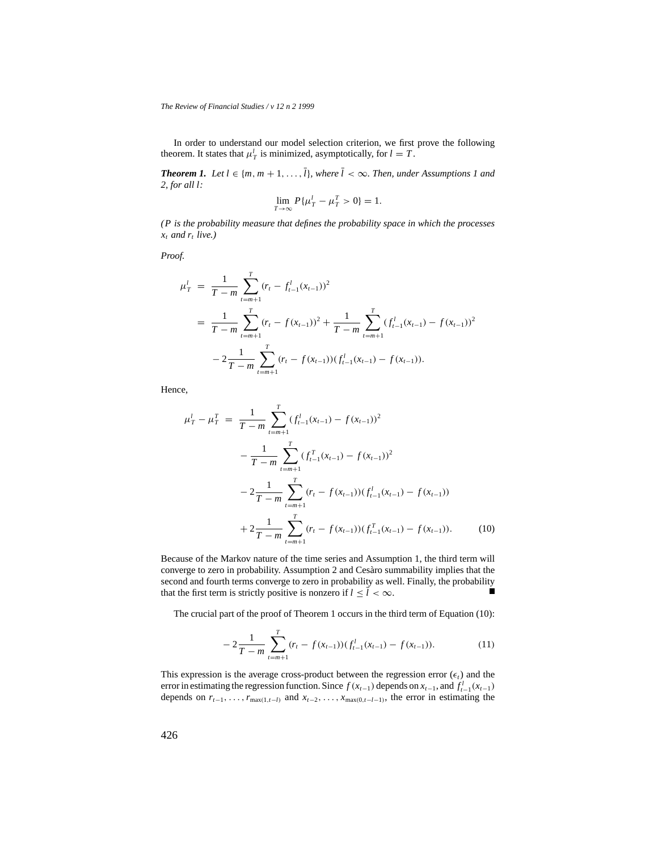In order to understand our model selection criterion, we first prove the following theorem. It states that  $\mu_T^l$  is minimized, asymptotically, for  $l = T$ .

*Theorem 1. Let*  $l \in \{m, m+1, \ldots, \overline{l}\}$ *, where*  $\overline{l} < \infty$ *. Then, under Assumptions 1 and 2, for all l:*

$$
\lim_{T \to \infty} P\{\mu_T^l - \mu_T^T > 0\} = 1.
$$

*(P is the probability measure that defines the probability space in which the processes*  $x_t$  *and*  $r_t$  *live.*)

*Proof.*

$$
\mu_T^l = \frac{1}{T - m} \sum_{t=m+1}^T (r_t - f_{t-1}^l (x_{t-1}))^2
$$
  
= 
$$
\frac{1}{T - m} \sum_{t=m+1}^T (r_t - f(x_{t-1}))^2 + \frac{1}{T - m} \sum_{t=m+1}^T (f_{t-1}^l (x_{t-1}) - f(x_{t-1}))^2
$$
  

$$
-2 \frac{1}{T - m} \sum_{t=m+1}^T (r_t - f(x_{t-1})) (f_{t-1}^l (x_{t-1}) - f(x_{t-1})).
$$

Hence,

$$
\mu_{T}^{l} - \mu_{T}^{T} = \frac{1}{T - m} \sum_{t=m+1}^{T} (f_{t-1}^{l}(x_{t-1}) - f(x_{t-1}))^{2}
$$
  

$$
- \frac{1}{T - m} \sum_{t=m+1}^{T} (f_{t-1}^{T}(x_{t-1}) - f(x_{t-1}))^{2}
$$
  

$$
- 2 \frac{1}{T - m} \sum_{t=m+1}^{T} (r_{t} - f(x_{t-1})) (f_{t-1}^{l}(x_{t-1}) - f(x_{t-1}))
$$
  

$$
+ 2 \frac{1}{T - m} \sum_{t=m+1}^{T} (r_{t} - f(x_{t-1})) (f_{t-1}^{T}(x_{t-1}) - f(x_{t-1})). \tag{10}
$$

Because of the Markov nature of the time series and Assumption 1, the third term will converge to zero in probability. Assumption 2 and Cesàro summability implies that the second and fourth terms converge to zero in probability as well. Finally, the probability that the first term is strictly positive is nonzero if  $l \leq \overline{l} < \infty$ . П

The crucial part of the proof of Theorem 1 occurs in the third term of Equation (10):

$$
-2\frac{1}{T-m}\sum_{t=m+1}^{T}(r_{t}-f(x_{t-1}))(f_{t-1}^{l}(x_{t-1})-f(x_{t-1})).
$$
\n(11)

This expression is the average cross-product between the regression error  $(\epsilon_t)$  and the error in estimating the regression function. Since  $f(x_{t-1})$  depends on  $x_{t-1}$ , and  $f_{t-1}^l(x_{t-1})$ depends on  $r_{t-1}, \ldots, r_{\max(1, t-l)}$  and  $x_{t-2}, \ldots, x_{\max(0, t-l-1)}$ , the error in estimating the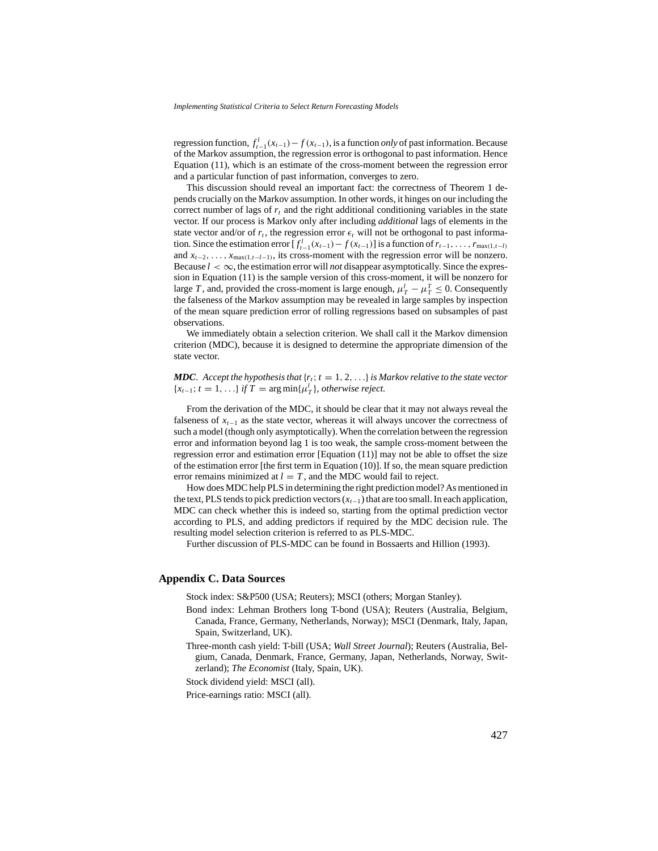regression function,  $f_{t-1}^l(x_{t-1}) - f(x_{t-1})$ , is a function *only* of past information. Because of the Markov assumption, the regression error is orthogonal to past information. Hence Equation (11), which is an estimate of the cross-moment between the regression error and a particular function of past information, converges to zero.

This discussion should reveal an important fact: the correctness of Theorem 1 depends crucially on the Markov assumption. In other words, it hinges on our including the correct number of lags of  $r<sub>t</sub>$  and the right additional conditioning variables in the state vector. If our process is Markov only after including *additional* lags of elements in the state vector and/or of  $r_t$ , the regression error  $\epsilon_t$  will not be orthogonal to past information. Since the estimation error  $[f_{t-1}^l(x_{t-1}) - f(x_{t-1})]$  is a function of  $r_{t-1}, \ldots, r_{\max(1, t-l)}$ and  $x_{t-2}, \ldots, x_{\text{max}(1, t-l-1)}$ , its cross-moment with the regression error will be nonzero. Because  $l < \infty$ , the estimation error will *not* disappear asymptotically. Since the expression in Equation (11) is the sample version of this cross-moment, it will be nonzero for large *T*, and, provided the cross-moment is large enough,  $\mu_T^l - \mu_T^T \leq 0$ . Consequently the falseness of the Markov assumption may be revealed in large samples by inspection of the mean square prediction error of rolling regressions based on subsamples of past observations.

We immediately obtain a selection criterion. We shall call it the Markov dimension criterion (MDC), because it is designed to determine the appropriate dimension of the state vector.

*MDC*. *Accept the hypothesis that*  $\{r_t; t = 1, 2, ...\}$  *is Markov relative to the state vector*  ${x_{t-1}}$ ;  $t = 1, \ldots$ } *if*  $T = \arg \min\{\mu^l\}$ , *otherwise reject.* 

From the derivation of the MDC, it should be clear that it may not always reveal the falseness of  $x_{t-1}$  as the state vector, whereas it will always uncover the correctness of such a model (though only asymptotically). When the correlation between the regression error and information beyond lag 1 is too weak, the sample cross-moment between the regression error and estimation error [Equation (11)] may not be able to offset the size of the estimation error [the first term in Equation (10)]. If so, the mean square prediction error remains minimized at  $l = T$ , and the MDC would fail to reject.

How does MDC help PLS in determining the right prediction model? As mentioned in the text, PLS tends to pick prediction vectors  $(x_{t-1})$  that are too small. In each application, MDC can check whether this is indeed so, starting from the optimal prediction vector according to PLS, and adding predictors if required by the MDC decision rule. The resulting model selection criterion is referred to as PLS-MDC.

Further discussion of PLS-MDC can be found in Bossaerts and Hillion (1993).

### **Appendix C. Data Sources**

Stock index: S&P500 (USA; Reuters); MSCI (others; Morgan Stanley).

- Bond index: Lehman Brothers long T-bond (USA); Reuters (Australia, Belgium, Canada, France, Germany, Netherlands, Norway); MSCI (Denmark, Italy, Japan, Spain, Switzerland, UK).
- Three-month cash yield: T-bill (USA; *Wall Street Journal*); Reuters (Australia, Belgium, Canada, Denmark, France, Germany, Japan, Netherlands, Norway, Switzerland); *The Economist* (Italy, Spain, UK).
- Stock dividend yield: MSCI (all).

Price-earnings ratio: MSCI (all).